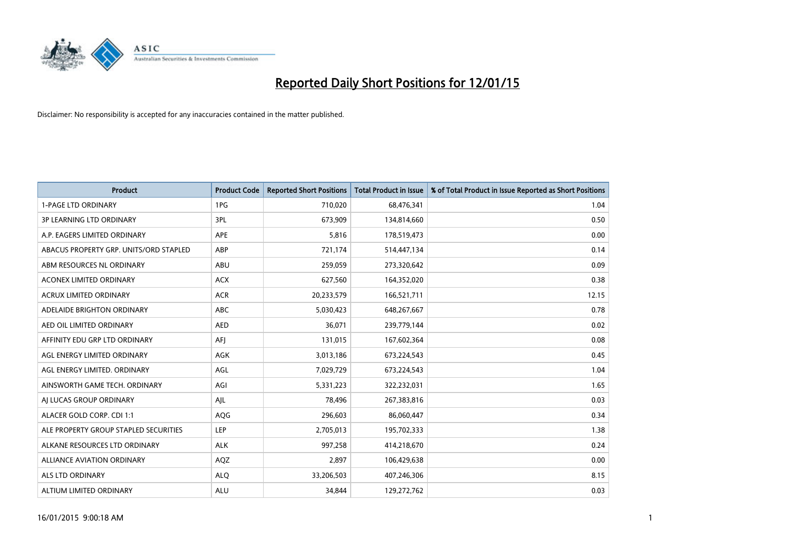

| <b>Product</b>                         | <b>Product Code</b> | <b>Reported Short Positions</b> | <b>Total Product in Issue</b> | % of Total Product in Issue Reported as Short Positions |
|----------------------------------------|---------------------|---------------------------------|-------------------------------|---------------------------------------------------------|
| <b>1-PAGE LTD ORDINARY</b>             | 1PG                 | 710,020                         | 68,476,341                    | 1.04                                                    |
| 3P LEARNING LTD ORDINARY               | 3PL                 | 673,909                         | 134,814,660                   | 0.50                                                    |
| A.P. EAGERS LIMITED ORDINARY           | <b>APE</b>          | 5,816                           | 178,519,473                   | 0.00                                                    |
| ABACUS PROPERTY GRP. UNITS/ORD STAPLED | ABP                 | 721,174                         | 514,447,134                   | 0.14                                                    |
| ABM RESOURCES NL ORDINARY              | ABU                 | 259,059                         | 273,320,642                   | 0.09                                                    |
| <b>ACONEX LIMITED ORDINARY</b>         | <b>ACX</b>          | 627,560                         | 164,352,020                   | 0.38                                                    |
| <b>ACRUX LIMITED ORDINARY</b>          | <b>ACR</b>          | 20,233,579                      | 166,521,711                   | 12.15                                                   |
| ADELAIDE BRIGHTON ORDINARY             | ABC                 | 5,030,423                       | 648,267,667                   | 0.78                                                    |
| AED OIL LIMITED ORDINARY               | <b>AED</b>          | 36,071                          | 239,779,144                   | 0.02                                                    |
| AFFINITY EDU GRP LTD ORDINARY          | AFI                 | 131,015                         | 167,602,364                   | 0.08                                                    |
| AGL ENERGY LIMITED ORDINARY            | AGK                 | 3,013,186                       | 673,224,543                   | 0.45                                                    |
| AGL ENERGY LIMITED. ORDINARY           | AGL                 | 7,029,729                       | 673,224,543                   | 1.04                                                    |
| AINSWORTH GAME TECH. ORDINARY          | AGI                 | 5,331,223                       | 322,232,031                   | 1.65                                                    |
| AI LUCAS GROUP ORDINARY                | AJL                 | 78,496                          | 267,383,816                   | 0.03                                                    |
| ALACER GOLD CORP. CDI 1:1              | AQG                 | 296,603                         | 86,060,447                    | 0.34                                                    |
| ALE PROPERTY GROUP STAPLED SECURITIES  | LEP                 | 2,705,013                       | 195,702,333                   | 1.38                                                    |
| ALKANE RESOURCES LTD ORDINARY          | <b>ALK</b>          | 997,258                         | 414,218,670                   | 0.24                                                    |
| ALLIANCE AVIATION ORDINARY             | AQZ                 | 2,897                           | 106,429,638                   | 0.00                                                    |
| ALS LTD ORDINARY                       | <b>ALO</b>          | 33,206,503                      | 407,246,306                   | 8.15                                                    |
| ALTIUM LIMITED ORDINARY                | <b>ALU</b>          | 34,844                          | 129,272,762                   | 0.03                                                    |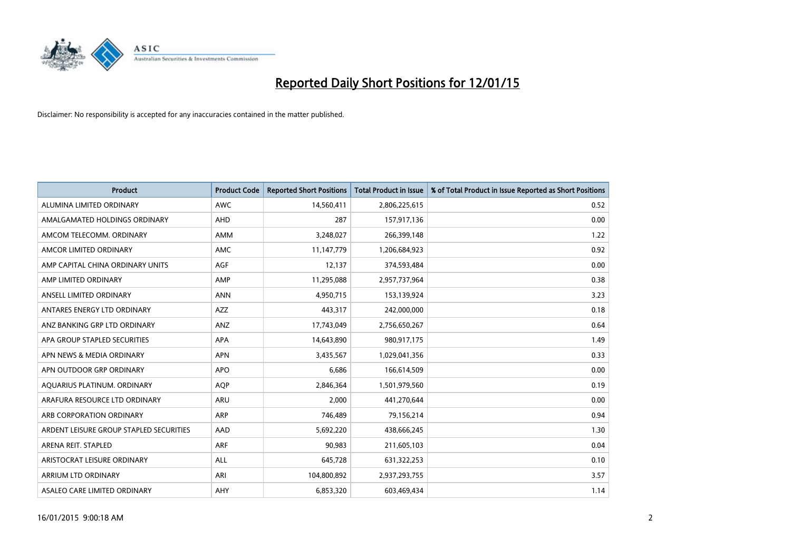

| <b>Product</b>                          | <b>Product Code</b> | <b>Reported Short Positions</b> | <b>Total Product in Issue</b> | % of Total Product in Issue Reported as Short Positions |
|-----------------------------------------|---------------------|---------------------------------|-------------------------------|---------------------------------------------------------|
| ALUMINA LIMITED ORDINARY                | <b>AWC</b>          | 14,560,411                      | 2,806,225,615                 | 0.52                                                    |
| AMALGAMATED HOLDINGS ORDINARY           | AHD                 | 287                             | 157,917,136                   | 0.00                                                    |
| AMCOM TELECOMM. ORDINARY                | <b>AMM</b>          | 3,248,027                       | 266,399,148                   | 1.22                                                    |
| AMCOR LIMITED ORDINARY                  | AMC                 | 11,147,779                      | 1,206,684,923                 | 0.92                                                    |
| AMP CAPITAL CHINA ORDINARY UNITS        | AGF                 | 12,137                          | 374,593,484                   | 0.00                                                    |
| AMP LIMITED ORDINARY                    | AMP                 | 11,295,088                      | 2,957,737,964                 | 0.38                                                    |
| ANSELL LIMITED ORDINARY                 | <b>ANN</b>          | 4,950,715                       | 153,139,924                   | 3.23                                                    |
| ANTARES ENERGY LTD ORDINARY             | AZZ                 | 443,317                         | 242,000,000                   | 0.18                                                    |
| ANZ BANKING GRP LTD ORDINARY            | ANZ                 | 17,743,049                      | 2,756,650,267                 | 0.64                                                    |
| APA GROUP STAPLED SECURITIES            | <b>APA</b>          | 14,643,890                      | 980,917,175                   | 1.49                                                    |
| APN NEWS & MEDIA ORDINARY               | <b>APN</b>          | 3,435,567                       | 1,029,041,356                 | 0.33                                                    |
| APN OUTDOOR GRP ORDINARY                | <b>APO</b>          | 6,686                           | 166,614,509                   | 0.00                                                    |
| AQUARIUS PLATINUM. ORDINARY             | <b>AOP</b>          | 2,846,364                       | 1,501,979,560                 | 0.19                                                    |
| ARAFURA RESOURCE LTD ORDINARY           | ARU                 | 2,000                           | 441,270,644                   | 0.00                                                    |
| ARB CORPORATION ORDINARY                | ARP                 | 746,489                         | 79,156,214                    | 0.94                                                    |
| ARDENT LEISURE GROUP STAPLED SECURITIES | AAD                 | 5,692,220                       | 438,666,245                   | 1.30                                                    |
| ARENA REIT. STAPLED                     | <b>ARF</b>          | 90,983                          | 211,605,103                   | 0.04                                                    |
| ARISTOCRAT LEISURE ORDINARY             | <b>ALL</b>          | 645,728                         | 631,322,253                   | 0.10                                                    |
| ARRIUM LTD ORDINARY                     | ARI                 | 104,800,892                     | 2,937,293,755                 | 3.57                                                    |
| ASALEO CARE LIMITED ORDINARY            | AHY                 | 6,853,320                       | 603,469,434                   | 1.14                                                    |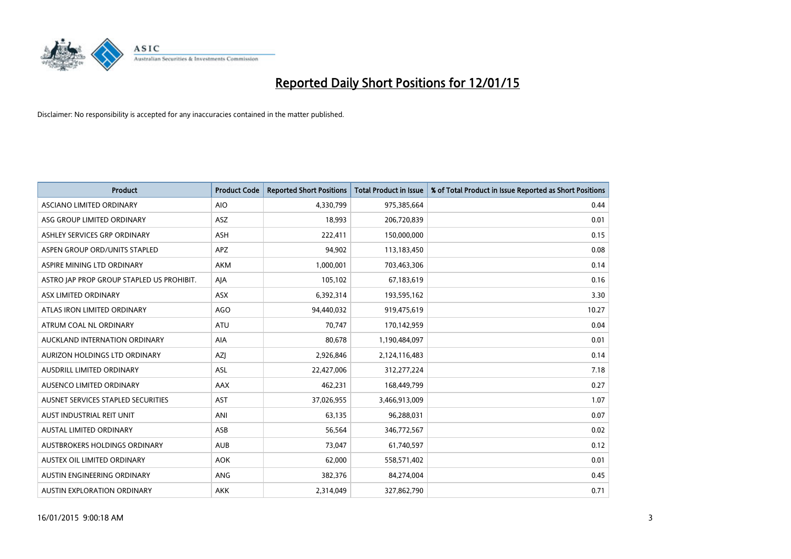

| <b>Product</b>                            | <b>Product Code</b> | <b>Reported Short Positions</b> | <b>Total Product in Issue</b> | % of Total Product in Issue Reported as Short Positions |
|-------------------------------------------|---------------------|---------------------------------|-------------------------------|---------------------------------------------------------|
| ASCIANO LIMITED ORDINARY                  | <b>AIO</b>          | 4,330,799                       | 975,385,664                   | 0.44                                                    |
| ASG GROUP LIMITED ORDINARY                | ASZ                 | 18,993                          | 206,720,839                   | 0.01                                                    |
| ASHLEY SERVICES GRP ORDINARY              | <b>ASH</b>          | 222,411                         | 150,000,000                   | 0.15                                                    |
| ASPEN GROUP ORD/UNITS STAPLED             | APZ                 | 94,902                          | 113,183,450                   | 0.08                                                    |
| ASPIRE MINING LTD ORDINARY                | <b>AKM</b>          | 1,000,001                       | 703,463,306                   | 0.14                                                    |
| ASTRO JAP PROP GROUP STAPLED US PROHIBIT. | AJA                 | 105,102                         | 67,183,619                    | 0.16                                                    |
| ASX LIMITED ORDINARY                      | ASX                 | 6,392,314                       | 193,595,162                   | 3.30                                                    |
| ATLAS IRON LIMITED ORDINARY               | <b>AGO</b>          | 94,440,032                      | 919,475,619                   | 10.27                                                   |
| ATRUM COAL NL ORDINARY                    | <b>ATU</b>          | 70.747                          | 170,142,959                   | 0.04                                                    |
| AUCKLAND INTERNATION ORDINARY             | <b>AIA</b>          | 80,678                          | 1,190,484,097                 | 0.01                                                    |
| AURIZON HOLDINGS LTD ORDINARY             | AZJ                 | 2,926,846                       | 2,124,116,483                 | 0.14                                                    |
| AUSDRILL LIMITED ORDINARY                 | ASL                 | 22,427,006                      | 312,277,224                   | 7.18                                                    |
| AUSENCO LIMITED ORDINARY                  | AAX                 | 462,231                         | 168,449,799                   | 0.27                                                    |
| AUSNET SERVICES STAPLED SECURITIES        | AST                 | 37,026,955                      | 3,466,913,009                 | 1.07                                                    |
| AUST INDUSTRIAL REIT UNIT                 | ANI                 | 63,135                          | 96,288,031                    | 0.07                                                    |
| AUSTAL LIMITED ORDINARY                   | ASB                 | 56,564                          | 346,772,567                   | 0.02                                                    |
| AUSTBROKERS HOLDINGS ORDINARY             | <b>AUB</b>          | 73,047                          | 61,740,597                    | 0.12                                                    |
| AUSTEX OIL LIMITED ORDINARY               | <b>AOK</b>          | 62,000                          | 558,571,402                   | 0.01                                                    |
| AUSTIN ENGINEERING ORDINARY               | ANG                 | 382,376                         | 84,274,004                    | 0.45                                                    |
| AUSTIN EXPLORATION ORDINARY               | <b>AKK</b>          | 2,314,049                       | 327,862,790                   | 0.71                                                    |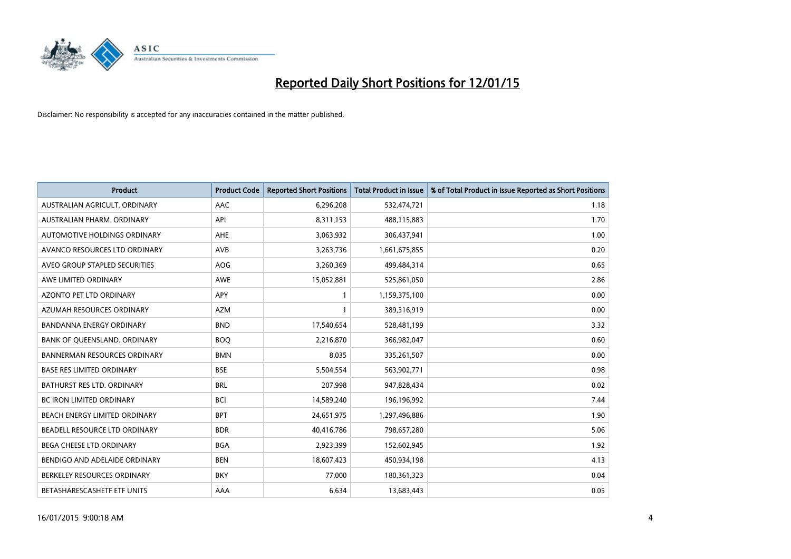

| <b>Product</b>                    | <b>Product Code</b> | <b>Reported Short Positions</b> | <b>Total Product in Issue</b> | % of Total Product in Issue Reported as Short Positions |
|-----------------------------------|---------------------|---------------------------------|-------------------------------|---------------------------------------------------------|
| AUSTRALIAN AGRICULT, ORDINARY     | AAC                 | 6,296,208                       | 532,474,721                   | 1.18                                                    |
| AUSTRALIAN PHARM. ORDINARY        | API                 | 8,311,153                       | 488,115,883                   | 1.70                                                    |
| AUTOMOTIVE HOLDINGS ORDINARY      | AHE                 | 3,063,932                       | 306,437,941                   | 1.00                                                    |
| AVANCO RESOURCES LTD ORDINARY     | AVB                 | 3,263,736                       | 1,661,675,855                 | 0.20                                                    |
| AVEO GROUP STAPLED SECURITIES     | <b>AOG</b>          | 3,260,369                       | 499,484,314                   | 0.65                                                    |
| AWE LIMITED ORDINARY              | AWE                 | 15,052,881                      | 525,861,050                   | 2.86                                                    |
| AZONTO PET LTD ORDINARY           | APY                 | 1                               | 1,159,375,100                 | 0.00                                                    |
| AZUMAH RESOURCES ORDINARY         | <b>AZM</b>          | 1                               | 389,316,919                   | 0.00                                                    |
| <b>BANDANNA ENERGY ORDINARY</b>   | <b>BND</b>          | 17,540,654                      | 528,481,199                   | 3.32                                                    |
| BANK OF QUEENSLAND. ORDINARY      | <b>BOQ</b>          | 2,216,870                       | 366,982,047                   | 0.60                                                    |
| BANNERMAN RESOURCES ORDINARY      | <b>BMN</b>          | 8,035                           | 335,261,507                   | 0.00                                                    |
| <b>BASE RES LIMITED ORDINARY</b>  | <b>BSE</b>          | 5,504,554                       | 563,902,771                   | 0.98                                                    |
| <b>BATHURST RES LTD. ORDINARY</b> | <b>BRL</b>          | 207,998                         | 947,828,434                   | 0.02                                                    |
| <b>BC IRON LIMITED ORDINARY</b>   | <b>BCI</b>          | 14,589,240                      | 196,196,992                   | 7.44                                                    |
| BEACH ENERGY LIMITED ORDINARY     | <b>BPT</b>          | 24,651,975                      | 1,297,496,886                 | 1.90                                                    |
| BEADELL RESOURCE LTD ORDINARY     | <b>BDR</b>          | 40,416,786                      | 798,657,280                   | 5.06                                                    |
| BEGA CHEESE LTD ORDINARY          | <b>BGA</b>          | 2,923,399                       | 152,602,945                   | 1.92                                                    |
| BENDIGO AND ADELAIDE ORDINARY     | <b>BEN</b>          | 18,607,423                      | 450,934,198                   | 4.13                                                    |
| BERKELEY RESOURCES ORDINARY       | <b>BKY</b>          | 77,000                          | 180,361,323                   | 0.04                                                    |
| BETASHARESCASHETF ETF UNITS       | AAA                 | 6,634                           | 13,683,443                    | 0.05                                                    |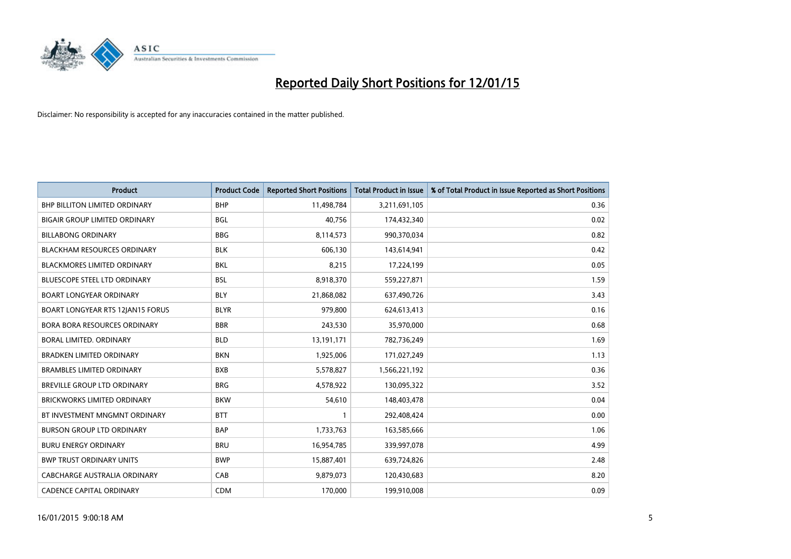

| <b>Product</b>                       | <b>Product Code</b> | <b>Reported Short Positions</b> | Total Product in Issue | % of Total Product in Issue Reported as Short Positions |
|--------------------------------------|---------------------|---------------------------------|------------------------|---------------------------------------------------------|
| <b>BHP BILLITON LIMITED ORDINARY</b> | <b>BHP</b>          | 11,498,784                      | 3,211,691,105          | 0.36                                                    |
| <b>BIGAIR GROUP LIMITED ORDINARY</b> | <b>BGL</b>          | 40.756                          | 174,432,340            | 0.02                                                    |
| <b>BILLABONG ORDINARY</b>            | <b>BBG</b>          | 8,114,573                       | 990,370,034            | 0.82                                                    |
| <b>BLACKHAM RESOURCES ORDINARY</b>   | <b>BLK</b>          | 606,130                         | 143,614,941            | 0.42                                                    |
| <b>BLACKMORES LIMITED ORDINARY</b>   | <b>BKL</b>          | 8,215                           | 17,224,199             | 0.05                                                    |
| <b>BLUESCOPE STEEL LTD ORDINARY</b>  | <b>BSL</b>          | 8,918,370                       | 559,227,871            | 1.59                                                    |
| <b>BOART LONGYEAR ORDINARY</b>       | <b>BLY</b>          | 21,868,082                      | 637,490,726            | 3.43                                                    |
| BOART LONGYEAR RTS 12JAN15 FORUS     | <b>BLYR</b>         | 979,800                         | 624,613,413            | 0.16                                                    |
| <b>BORA BORA RESOURCES ORDINARY</b>  | <b>BBR</b>          | 243,530                         | 35,970,000             | 0.68                                                    |
| <b>BORAL LIMITED, ORDINARY</b>       | <b>BLD</b>          | 13,191,171                      | 782,736,249            | 1.69                                                    |
| <b>BRADKEN LIMITED ORDINARY</b>      | <b>BKN</b>          | 1,925,006                       | 171,027,249            | 1.13                                                    |
| <b>BRAMBLES LIMITED ORDINARY</b>     | <b>BXB</b>          | 5,578,827                       | 1,566,221,192          | 0.36                                                    |
| BREVILLE GROUP LTD ORDINARY          | <b>BRG</b>          | 4,578,922                       | 130,095,322            | 3.52                                                    |
| <b>BRICKWORKS LIMITED ORDINARY</b>   | <b>BKW</b>          | 54.610                          | 148,403,478            | 0.04                                                    |
| BT INVESTMENT MNGMNT ORDINARY        | <b>BTT</b>          | $\mathbf{1}$                    | 292,408,424            | 0.00                                                    |
| <b>BURSON GROUP LTD ORDINARY</b>     | <b>BAP</b>          | 1,733,763                       | 163,585,666            | 1.06                                                    |
| <b>BURU ENERGY ORDINARY</b>          | <b>BRU</b>          | 16,954,785                      | 339,997,078            | 4.99                                                    |
| <b>BWP TRUST ORDINARY UNITS</b>      | <b>BWP</b>          | 15,887,401                      | 639,724,826            | 2.48                                                    |
| CABCHARGE AUSTRALIA ORDINARY         | CAB                 | 9,879,073                       | 120,430,683            | 8.20                                                    |
| <b>CADENCE CAPITAL ORDINARY</b>      | <b>CDM</b>          | 170,000                         | 199,910,008            | 0.09                                                    |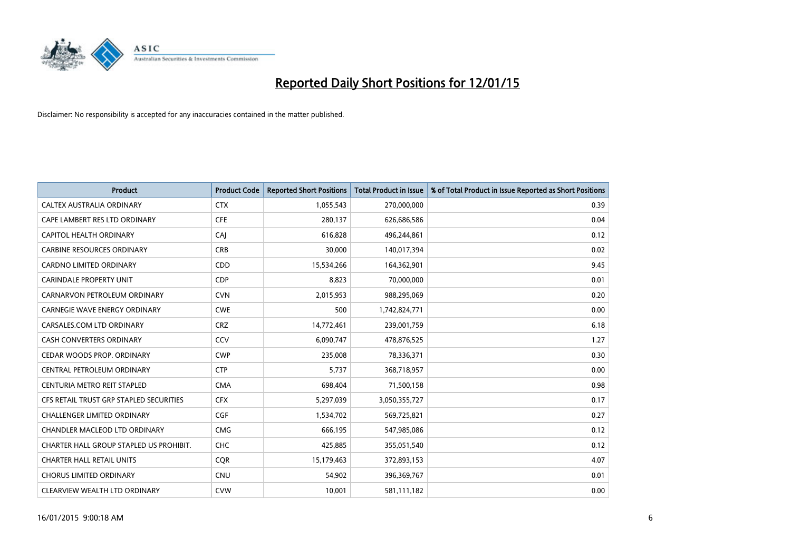

| <b>Product</b>                          | <b>Product Code</b> | <b>Reported Short Positions</b> | <b>Total Product in Issue</b> | % of Total Product in Issue Reported as Short Positions |
|-----------------------------------------|---------------------|---------------------------------|-------------------------------|---------------------------------------------------------|
| CALTEX AUSTRALIA ORDINARY               | <b>CTX</b>          | 1,055,543                       | 270,000,000                   | 0.39                                                    |
| CAPE LAMBERT RES LTD ORDINARY           | <b>CFE</b>          | 280,137                         | 626,686,586                   | 0.04                                                    |
| CAPITOL HEALTH ORDINARY                 | CAI                 | 616,828                         | 496,244,861                   | 0.12                                                    |
| <b>CARBINE RESOURCES ORDINARY</b>       | <b>CRB</b>          | 30,000                          | 140,017,394                   | 0.02                                                    |
| <b>CARDNO LIMITED ORDINARY</b>          | CDD                 | 15,534,266                      | 164,362,901                   | 9.45                                                    |
| <b>CARINDALE PROPERTY UNIT</b>          | <b>CDP</b>          | 8,823                           | 70,000,000                    | 0.01                                                    |
| CARNARVON PETROLEUM ORDINARY            | <b>CVN</b>          | 2,015,953                       | 988,295,069                   | 0.20                                                    |
| <b>CARNEGIE WAVE ENERGY ORDINARY</b>    | <b>CWE</b>          | 500                             | 1,742,824,771                 | 0.00                                                    |
| CARSALES.COM LTD ORDINARY               | <b>CRZ</b>          | 14,772,461                      | 239,001,759                   | 6.18                                                    |
| <b>CASH CONVERTERS ORDINARY</b>         | CCV                 | 6,090,747                       | 478,876,525                   | 1.27                                                    |
| CEDAR WOODS PROP. ORDINARY              | <b>CWP</b>          | 235,008                         | 78,336,371                    | 0.30                                                    |
| CENTRAL PETROLEUM ORDINARY              | <b>CTP</b>          | 5,737                           | 368,718,957                   | 0.00                                                    |
| CENTURIA METRO REIT STAPLED             | <b>CMA</b>          | 698,404                         | 71,500,158                    | 0.98                                                    |
| CFS RETAIL TRUST GRP STAPLED SECURITIES | <b>CFX</b>          | 5,297,039                       | 3,050,355,727                 | 0.17                                                    |
| <b>CHALLENGER LIMITED ORDINARY</b>      | <b>CGF</b>          | 1,534,702                       | 569,725,821                   | 0.27                                                    |
| CHANDLER MACLEOD LTD ORDINARY           | <b>CMG</b>          | 666,195                         | 547,985,086                   | 0.12                                                    |
| CHARTER HALL GROUP STAPLED US PROHIBIT. | <b>CHC</b>          | 425,885                         | 355,051,540                   | 0.12                                                    |
| <b>CHARTER HALL RETAIL UNITS</b>        | <b>CQR</b>          | 15,179,463                      | 372,893,153                   | 4.07                                                    |
| <b>CHORUS LIMITED ORDINARY</b>          | CNU                 | 54,902                          | 396,369,767                   | 0.01                                                    |
| CLEARVIEW WEALTH LTD ORDINARY           | <b>CVW</b>          | 10,001                          | 581,111,182                   | 0.00                                                    |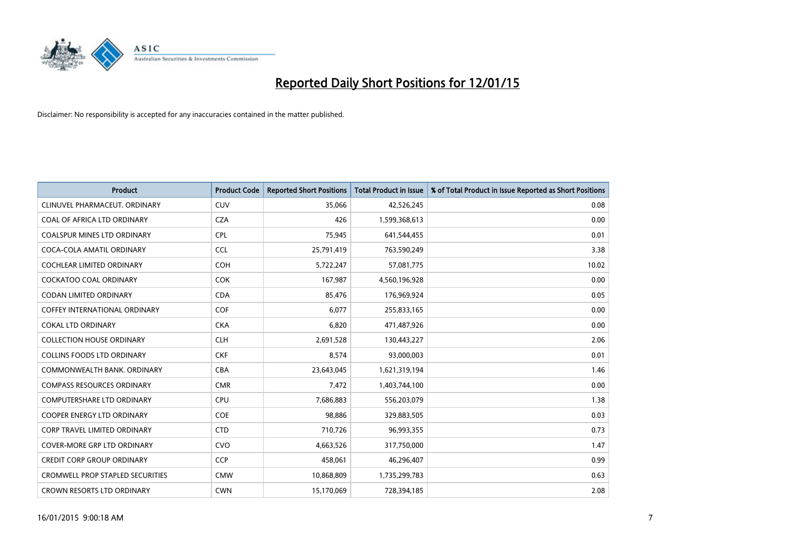

| <b>Product</b>                          | <b>Product Code</b> | <b>Reported Short Positions</b> | <b>Total Product in Issue</b> | % of Total Product in Issue Reported as Short Positions |
|-----------------------------------------|---------------------|---------------------------------|-------------------------------|---------------------------------------------------------|
| CLINUVEL PHARMACEUT, ORDINARY           | CUV                 | 35,066                          | 42,526,245                    | 0.08                                                    |
| COAL OF AFRICA LTD ORDINARY             | <b>CZA</b>          | 426                             | 1,599,368,613                 | 0.00                                                    |
| <b>COALSPUR MINES LTD ORDINARY</b>      | <b>CPL</b>          | 75,945                          | 641,544,455                   | 0.01                                                    |
| COCA-COLA AMATIL ORDINARY               | <b>CCL</b>          | 25,791,419                      | 763,590,249                   | 3.38                                                    |
| <b>COCHLEAR LIMITED ORDINARY</b>        | <b>COH</b>          | 5,722,247                       | 57,081,775                    | 10.02                                                   |
| <b>COCKATOO COAL ORDINARY</b>           | <b>COK</b>          | 167,987                         | 4,560,196,928                 | 0.00                                                    |
| <b>CODAN LIMITED ORDINARY</b>           | <b>CDA</b>          | 85,476                          | 176,969,924                   | 0.05                                                    |
| <b>COFFEY INTERNATIONAL ORDINARY</b>    | <b>COF</b>          | 6,077                           | 255,833,165                   | 0.00                                                    |
| <b>COKAL LTD ORDINARY</b>               | <b>CKA</b>          | 6,820                           | 471,487,926                   | 0.00                                                    |
| <b>COLLECTION HOUSE ORDINARY</b>        | <b>CLH</b>          | 2,691,528                       | 130,443,227                   | 2.06                                                    |
| <b>COLLINS FOODS LTD ORDINARY</b>       | <b>CKF</b>          | 8,574                           | 93,000,003                    | 0.01                                                    |
| COMMONWEALTH BANK, ORDINARY             | <b>CBA</b>          | 23,643,045                      | 1,621,319,194                 | 1.46                                                    |
| <b>COMPASS RESOURCES ORDINARY</b>       | <b>CMR</b>          | 7,472                           | 1,403,744,100                 | 0.00                                                    |
| <b>COMPUTERSHARE LTD ORDINARY</b>       | <b>CPU</b>          | 7,686,883                       | 556,203,079                   | 1.38                                                    |
| <b>COOPER ENERGY LTD ORDINARY</b>       | <b>COE</b>          | 98,886                          | 329,883,505                   | 0.03                                                    |
| CORP TRAVEL LIMITED ORDINARY            | <b>CTD</b>          | 710,726                         | 96,993,355                    | 0.73                                                    |
| COVER-MORE GRP LTD ORDINARY             | <b>CVO</b>          | 4,663,526                       | 317,750,000                   | 1.47                                                    |
| <b>CREDIT CORP GROUP ORDINARY</b>       | <b>CCP</b>          | 458,061                         | 46,296,407                    | 0.99                                                    |
| <b>CROMWELL PROP STAPLED SECURITIES</b> | <b>CMW</b>          | 10,868,809                      | 1,735,299,783                 | 0.63                                                    |
| CROWN RESORTS LTD ORDINARY              | <b>CWN</b>          | 15,170,069                      | 728,394,185                   | 2.08                                                    |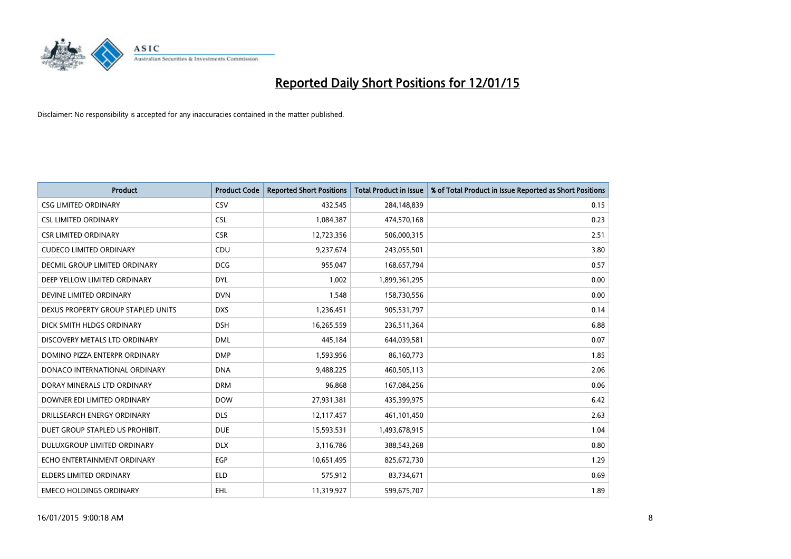

| <b>Product</b>                       | <b>Product Code</b> | <b>Reported Short Positions</b> | <b>Total Product in Issue</b> | % of Total Product in Issue Reported as Short Positions |
|--------------------------------------|---------------------|---------------------------------|-------------------------------|---------------------------------------------------------|
| <b>CSG LIMITED ORDINARY</b>          | CSV                 | 432,545                         | 284,148,839                   | 0.15                                                    |
| <b>CSL LIMITED ORDINARY</b>          | <b>CSL</b>          | 1,084,387                       | 474,570,168                   | 0.23                                                    |
| <b>CSR LIMITED ORDINARY</b>          | <b>CSR</b>          | 12,723,356                      | 506,000,315                   | 2.51                                                    |
| <b>CUDECO LIMITED ORDINARY</b>       | CDU                 | 9,237,674                       | 243,055,501                   | 3.80                                                    |
| <b>DECMIL GROUP LIMITED ORDINARY</b> | <b>DCG</b>          | 955,047                         | 168,657,794                   | 0.57                                                    |
| DEEP YELLOW LIMITED ORDINARY         | <b>DYL</b>          | 1,002                           | 1,899,361,295                 | 0.00                                                    |
| DEVINE LIMITED ORDINARY              | <b>DVN</b>          | 1,548                           | 158,730,556                   | 0.00                                                    |
| DEXUS PROPERTY GROUP STAPLED UNITS   | <b>DXS</b>          | 1,236,451                       | 905,531,797                   | 0.14                                                    |
| DICK SMITH HLDGS ORDINARY            | <b>DSH</b>          | 16,265,559                      | 236,511,364                   | 6.88                                                    |
| DISCOVERY METALS LTD ORDINARY        | <b>DML</b>          | 445,184                         | 644,039,581                   | 0.07                                                    |
| DOMINO PIZZA ENTERPR ORDINARY        | <b>DMP</b>          | 1,593,956                       | 86,160,773                    | 1.85                                                    |
| DONACO INTERNATIONAL ORDINARY        | <b>DNA</b>          | 9,488,225                       | 460,505,113                   | 2.06                                                    |
| DORAY MINERALS LTD ORDINARY          | <b>DRM</b>          | 96,868                          | 167,084,256                   | 0.06                                                    |
| DOWNER EDI LIMITED ORDINARY          | <b>DOW</b>          | 27,931,381                      | 435,399,975                   | 6.42                                                    |
| DRILLSEARCH ENERGY ORDINARY          | <b>DLS</b>          | 12,117,457                      | 461,101,450                   | 2.63                                                    |
| DUET GROUP STAPLED US PROHIBIT.      | <b>DUE</b>          | 15,593,531                      | 1,493,678,915                 | 1.04                                                    |
| DULUXGROUP LIMITED ORDINARY          | <b>DLX</b>          | 3,116,786                       | 388,543,268                   | 0.80                                                    |
| ECHO ENTERTAINMENT ORDINARY          | <b>EGP</b>          | 10,651,495                      | 825,672,730                   | 1.29                                                    |
| <b>ELDERS LIMITED ORDINARY</b>       | <b>ELD</b>          | 575,912                         | 83,734,671                    | 0.69                                                    |
| <b>EMECO HOLDINGS ORDINARY</b>       | <b>EHL</b>          | 11,319,927                      | 599,675,707                   | 1.89                                                    |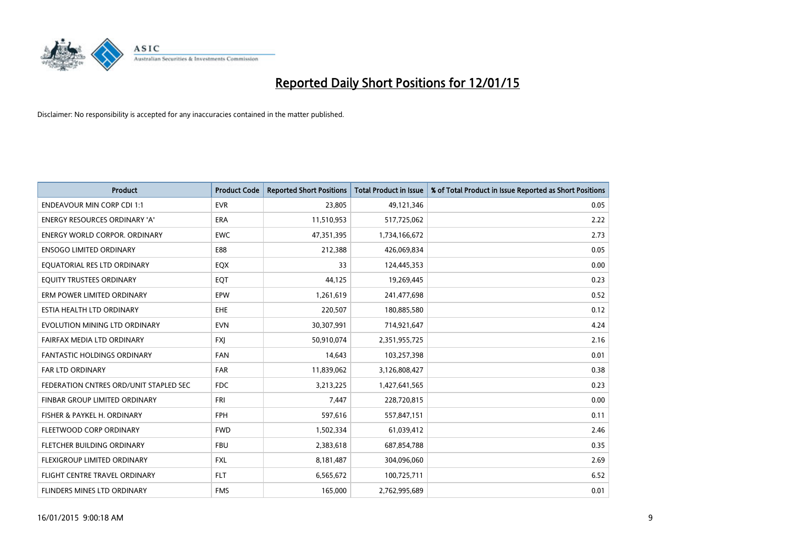

| <b>Product</b>                         | <b>Product Code</b> | <b>Reported Short Positions</b> | <b>Total Product in Issue</b> | % of Total Product in Issue Reported as Short Positions |
|----------------------------------------|---------------------|---------------------------------|-------------------------------|---------------------------------------------------------|
| <b>ENDEAVOUR MIN CORP CDI 1:1</b>      | <b>EVR</b>          | 23,805                          | 49,121,346                    | 0.05                                                    |
| ENERGY RESOURCES ORDINARY 'A'          | ERA                 | 11,510,953                      | 517,725,062                   | 2.22                                                    |
| <b>ENERGY WORLD CORPOR, ORDINARY</b>   | <b>EWC</b>          | 47,351,395                      | 1,734,166,672                 | 2.73                                                    |
| <b>ENSOGO LIMITED ORDINARY</b>         | E88                 | 212,388                         | 426,069,834                   | 0.05                                                    |
| EQUATORIAL RES LTD ORDINARY            | EQX                 | 33                              | 124,445,353                   | 0.00                                                    |
| EQUITY TRUSTEES ORDINARY               | EQT                 | 44,125                          | 19,269,445                    | 0.23                                                    |
| ERM POWER LIMITED ORDINARY             | <b>EPW</b>          | 1,261,619                       | 241,477,698                   | 0.52                                                    |
| ESTIA HEALTH LTD ORDINARY              | <b>EHE</b>          | 220,507                         | 180,885,580                   | 0.12                                                    |
| EVOLUTION MINING LTD ORDINARY          | <b>EVN</b>          | 30,307,991                      | 714,921,647                   | 4.24                                                    |
| FAIRFAX MEDIA LTD ORDINARY             | <b>FXI</b>          | 50,910,074                      | 2,351,955,725                 | 2.16                                                    |
| FANTASTIC HOLDINGS ORDINARY            | <b>FAN</b>          | 14,643                          | 103,257,398                   | 0.01                                                    |
| <b>FAR LTD ORDINARY</b>                | <b>FAR</b>          | 11,839,062                      | 3,126,808,427                 | 0.38                                                    |
| FEDERATION CNTRES ORD/UNIT STAPLED SEC | <b>FDC</b>          | 3,213,225                       | 1,427,641,565                 | 0.23                                                    |
| FINBAR GROUP LIMITED ORDINARY          | <b>FRI</b>          | 7,447                           | 228,720,815                   | 0.00                                                    |
| FISHER & PAYKEL H. ORDINARY            | <b>FPH</b>          | 597,616                         | 557,847,151                   | 0.11                                                    |
| FLEETWOOD CORP ORDINARY                | <b>FWD</b>          | 1,502,334                       | 61,039,412                    | 2.46                                                    |
| FLETCHER BUILDING ORDINARY             | <b>FBU</b>          | 2,383,618                       | 687,854,788                   | 0.35                                                    |
| FLEXIGROUP LIMITED ORDINARY            | <b>FXL</b>          | 8,181,487                       | 304,096,060                   | 2.69                                                    |
| FLIGHT CENTRE TRAVEL ORDINARY          | <b>FLT</b>          | 6,565,672                       | 100,725,711                   | 6.52                                                    |
| FLINDERS MINES LTD ORDINARY            | <b>FMS</b>          | 165,000                         | 2,762,995,689                 | 0.01                                                    |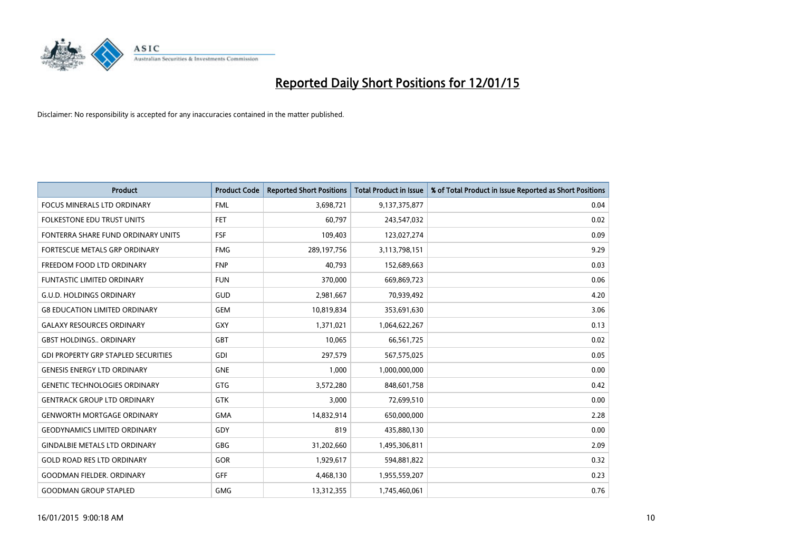

| <b>Product</b>                             | <b>Product Code</b> | <b>Reported Short Positions</b> | <b>Total Product in Issue</b> | % of Total Product in Issue Reported as Short Positions |
|--------------------------------------------|---------------------|---------------------------------|-------------------------------|---------------------------------------------------------|
| <b>FOCUS MINERALS LTD ORDINARY</b>         | <b>FML</b>          | 3,698,721                       | 9,137,375,877                 | 0.04                                                    |
| FOLKESTONE EDU TRUST UNITS                 | <b>FET</b>          | 60,797                          | 243,547,032                   | 0.02                                                    |
| FONTERRA SHARE FUND ORDINARY UNITS         | <b>FSF</b>          | 109,403                         | 123,027,274                   | 0.09                                                    |
| <b>FORTESCUE METALS GRP ORDINARY</b>       | <b>FMG</b>          | 289,197,756                     | 3,113,798,151                 | 9.29                                                    |
| FREEDOM FOOD LTD ORDINARY                  | <b>FNP</b>          | 40,793                          | 152,689,663                   | 0.03                                                    |
| <b>FUNTASTIC LIMITED ORDINARY</b>          | <b>FUN</b>          | 370,000                         | 669,869,723                   | 0.06                                                    |
| <b>G.U.D. HOLDINGS ORDINARY</b>            | <b>GUD</b>          | 2,981,667                       | 70,939,492                    | 4.20                                                    |
| <b>G8 EDUCATION LIMITED ORDINARY</b>       | <b>GEM</b>          | 10,819,834                      | 353,691,630                   | 3.06                                                    |
| <b>GALAXY RESOURCES ORDINARY</b>           | GXY                 | 1,371,021                       | 1,064,622,267                 | 0.13                                                    |
| <b>GBST HOLDINGS., ORDINARY</b>            | <b>GBT</b>          | 10,065                          | 66,561,725                    | 0.02                                                    |
| <b>GDI PROPERTY GRP STAPLED SECURITIES</b> | GDI                 | 297,579                         | 567,575,025                   | 0.05                                                    |
| <b>GENESIS ENERGY LTD ORDINARY</b>         | <b>GNE</b>          | 1,000                           | 1,000,000,000                 | 0.00                                                    |
| <b>GENETIC TECHNOLOGIES ORDINARY</b>       | GTG                 | 3,572,280                       | 848,601,758                   | 0.42                                                    |
| <b>GENTRACK GROUP LTD ORDINARY</b>         | <b>GTK</b>          | 3,000                           | 72,699,510                    | 0.00                                                    |
| <b>GENWORTH MORTGAGE ORDINARY</b>          | <b>GMA</b>          | 14,832,914                      | 650,000,000                   | 2.28                                                    |
| <b>GEODYNAMICS LIMITED ORDINARY</b>        | GDY                 | 819                             | 435,880,130                   | 0.00                                                    |
| <b>GINDALBIE METALS LTD ORDINARY</b>       | GBG                 | 31,202,660                      | 1,495,306,811                 | 2.09                                                    |
| <b>GOLD ROAD RES LTD ORDINARY</b>          | GOR                 | 1,929,617                       | 594,881,822                   | 0.32                                                    |
| <b>GOODMAN FIELDER, ORDINARY</b>           | GFF                 | 4,468,130                       | 1,955,559,207                 | 0.23                                                    |
| <b>GOODMAN GROUP STAPLED</b>               | <b>GMG</b>          | 13,312,355                      | 1,745,460,061                 | 0.76                                                    |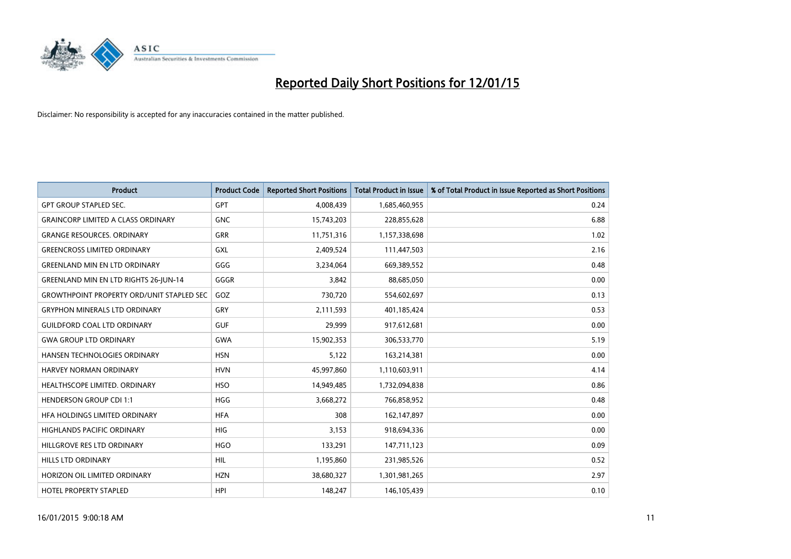

| <b>Product</b>                                   | <b>Product Code</b> | <b>Reported Short Positions</b> | <b>Total Product in Issue</b> | % of Total Product in Issue Reported as Short Positions |
|--------------------------------------------------|---------------------|---------------------------------|-------------------------------|---------------------------------------------------------|
| <b>GPT GROUP STAPLED SEC.</b>                    | <b>GPT</b>          | 4,008,439                       | 1,685,460,955                 | 0.24                                                    |
| <b>GRAINCORP LIMITED A CLASS ORDINARY</b>        | <b>GNC</b>          | 15,743,203                      | 228,855,628                   | 6.88                                                    |
| <b>GRANGE RESOURCES, ORDINARY</b>                | <b>GRR</b>          | 11,751,316                      | 1,157,338,698                 | 1.02                                                    |
| <b>GREENCROSS LIMITED ORDINARY</b>               | GXL                 | 2,409,524                       | 111,447,503                   | 2.16                                                    |
| <b>GREENLAND MIN EN LTD ORDINARY</b>             | GGG                 | 3,234,064                       | 669,389,552                   | 0.48                                                    |
| GREENLAND MIN EN LTD RIGHTS 26-JUN-14            | GGGR                | 3,842                           | 88,685,050                    | 0.00                                                    |
| <b>GROWTHPOINT PROPERTY ORD/UNIT STAPLED SEC</b> | GOZ                 | 730,720                         | 554,602,697                   | 0.13                                                    |
| <b>GRYPHON MINERALS LTD ORDINARY</b>             | GRY                 | 2,111,593                       | 401,185,424                   | 0.53                                                    |
| <b>GUILDFORD COAL LTD ORDINARY</b>               | <b>GUF</b>          | 29,999                          | 917,612,681                   | 0.00                                                    |
| <b>GWA GROUP LTD ORDINARY</b>                    | <b>GWA</b>          | 15,902,353                      | 306,533,770                   | 5.19                                                    |
| <b>HANSEN TECHNOLOGIES ORDINARY</b>              | <b>HSN</b>          | 5,122                           | 163,214,381                   | 0.00                                                    |
| HARVEY NORMAN ORDINARY                           | <b>HVN</b>          | 45,997,860                      | 1,110,603,911                 | 4.14                                                    |
| HEALTHSCOPE LIMITED. ORDINARY                    | <b>HSO</b>          | 14,949,485                      | 1,732,094,838                 | 0.86                                                    |
| <b>HENDERSON GROUP CDI 1:1</b>                   | <b>HGG</b>          | 3,668,272                       | 766,858,952                   | 0.48                                                    |
| HFA HOLDINGS LIMITED ORDINARY                    | <b>HFA</b>          | 308                             | 162,147,897                   | 0.00                                                    |
| HIGHLANDS PACIFIC ORDINARY                       | HIG                 | 3,153                           | 918,694,336                   | 0.00                                                    |
| HILLGROVE RES LTD ORDINARY                       | <b>HGO</b>          | 133,291                         | 147,711,123                   | 0.09                                                    |
| HILLS LTD ORDINARY                               | <b>HIL</b>          | 1,195,860                       | 231,985,526                   | 0.52                                                    |
| HORIZON OIL LIMITED ORDINARY                     | <b>HZN</b>          | 38,680,327                      | 1,301,981,265                 | 2.97                                                    |
| <b>HOTEL PROPERTY STAPLED</b>                    | <b>HPI</b>          | 148,247                         | 146, 105, 439                 | 0.10                                                    |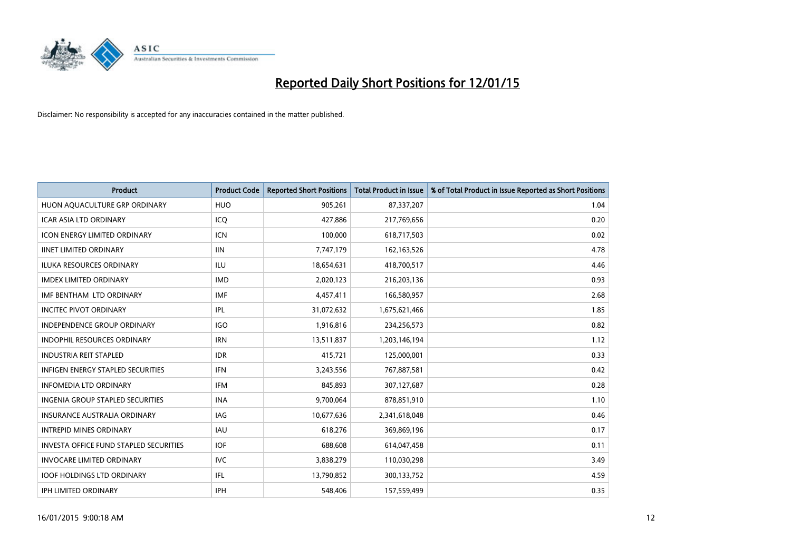

| Product                                  | <b>Product Code</b> | <b>Reported Short Positions</b> | <b>Total Product in Issue</b> | % of Total Product in Issue Reported as Short Positions |
|------------------------------------------|---------------------|---------------------------------|-------------------------------|---------------------------------------------------------|
| HUON AQUACULTURE GRP ORDINARY            | <b>HUO</b>          | 905,261                         | 87,337,207                    | 1.04                                                    |
| ICAR ASIA LTD ORDINARY                   | ICQ                 | 427,886                         | 217,769,656                   | 0.20                                                    |
| <b>ICON ENERGY LIMITED ORDINARY</b>      | ICN                 | 100,000                         | 618,717,503                   | 0.02                                                    |
| <b>IINET LIMITED ORDINARY</b>            | <b>IIN</b>          | 7,747,179                       | 162, 163, 526                 | 4.78                                                    |
| <b>ILUKA RESOURCES ORDINARY</b>          | ILU                 | 18,654,631                      | 418,700,517                   | 4.46                                                    |
| <b>IMDEX LIMITED ORDINARY</b>            | <b>IMD</b>          | 2,020,123                       | 216,203,136                   | 0.93                                                    |
| IMF BENTHAM LTD ORDINARY                 | <b>IMF</b>          | 4,457,411                       | 166,580,957                   | 2.68                                                    |
| <b>INCITEC PIVOT ORDINARY</b>            | IPL                 | 31,072,632                      | 1,675,621,466                 | 1.85                                                    |
| <b>INDEPENDENCE GROUP ORDINARY</b>       | <b>IGO</b>          | 1,916,816                       | 234,256,573                   | 0.82                                                    |
| <b>INDOPHIL RESOURCES ORDINARY</b>       | <b>IRN</b>          | 13,511,837                      | 1,203,146,194                 | 1.12                                                    |
| <b>INDUSTRIA REIT STAPLED</b>            | <b>IDR</b>          | 415,721                         | 125,000,001                   | 0.33                                                    |
| <b>INFIGEN ENERGY STAPLED SECURITIES</b> | <b>IFN</b>          | 3,243,556                       | 767,887,581                   | 0.42                                                    |
| <b>INFOMEDIA LTD ORDINARY</b>            | IFM                 | 845,893                         | 307,127,687                   | 0.28                                                    |
| <b>INGENIA GROUP STAPLED SECURITIES</b>  | <b>INA</b>          | 9,700,064                       | 878,851,910                   | 1.10                                                    |
| <b>INSURANCE AUSTRALIA ORDINARY</b>      | <b>IAG</b>          | 10,677,636                      | 2,341,618,048                 | 0.46                                                    |
| <b>INTREPID MINES ORDINARY</b>           | <b>IAU</b>          | 618,276                         | 369,869,196                   | 0.17                                                    |
| INVESTA OFFICE FUND STAPLED SECURITIES   | <b>IOF</b>          | 688,608                         | 614,047,458                   | 0.11                                                    |
| <b>INVOCARE LIMITED ORDINARY</b>         | <b>IVC</b>          | 3,838,279                       | 110,030,298                   | 3.49                                                    |
| <b>IOOF HOLDINGS LTD ORDINARY</b>        | IFL                 | 13,790,852                      | 300,133,752                   | 4.59                                                    |
| IPH LIMITED ORDINARY                     | <b>IPH</b>          | 548,406                         | 157,559,499                   | 0.35                                                    |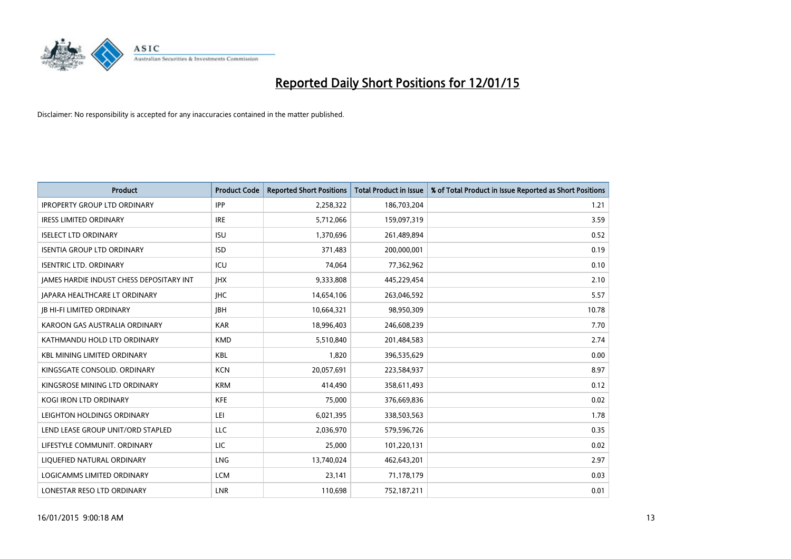

| <b>Product</b>                           | <b>Product Code</b> | <b>Reported Short Positions</b> | <b>Total Product in Issue</b> | % of Total Product in Issue Reported as Short Positions |
|------------------------------------------|---------------------|---------------------------------|-------------------------------|---------------------------------------------------------|
| <b>IPROPERTY GROUP LTD ORDINARY</b>      | <b>IPP</b>          | 2,258,322                       | 186,703,204                   | 1.21                                                    |
| <b>IRESS LIMITED ORDINARY</b>            | <b>IRE</b>          | 5,712,066                       | 159,097,319                   | 3.59                                                    |
| <b>ISELECT LTD ORDINARY</b>              | <b>ISU</b>          | 1,370,696                       | 261,489,894                   | 0.52                                                    |
| <b>ISENTIA GROUP LTD ORDINARY</b>        | <b>ISD</b>          | 371,483                         | 200,000,001                   | 0.19                                                    |
| <b>ISENTRIC LTD. ORDINARY</b>            | ICU                 | 74,064                          | 77,362,962                    | 0.10                                                    |
| JAMES HARDIE INDUST CHESS DEPOSITARY INT | <b>IHX</b>          | 9,333,808                       | 445,229,454                   | 2.10                                                    |
| JAPARA HEALTHCARE LT ORDINARY            | <b>IHC</b>          | 14,654,106                      | 263,046,592                   | 5.57                                                    |
| <b>JB HI-FI LIMITED ORDINARY</b>         | <b>JBH</b>          | 10,664,321                      | 98,950,309                    | 10.78                                                   |
| KAROON GAS AUSTRALIA ORDINARY            | <b>KAR</b>          | 18,996,403                      | 246,608,239                   | 7.70                                                    |
| KATHMANDU HOLD LTD ORDINARY              | <b>KMD</b>          | 5,510,840                       | 201,484,583                   | 2.74                                                    |
| <b>KBL MINING LIMITED ORDINARY</b>       | <b>KBL</b>          | 1,820                           | 396,535,629                   | 0.00                                                    |
| KINGSGATE CONSOLID. ORDINARY             | <b>KCN</b>          | 20,057,691                      | 223,584,937                   | 8.97                                                    |
| KINGSROSE MINING LTD ORDINARY            | <b>KRM</b>          | 414,490                         | 358,611,493                   | 0.12                                                    |
| <b>KOGI IRON LTD ORDINARY</b>            | KFE                 | 75,000                          | 376,669,836                   | 0.02                                                    |
| LEIGHTON HOLDINGS ORDINARY               | LEI.                | 6,021,395                       | 338,503,563                   | 1.78                                                    |
| LEND LEASE GROUP UNIT/ORD STAPLED        | LLC                 | 2,036,970                       | 579,596,726                   | 0.35                                                    |
| LIFESTYLE COMMUNIT. ORDINARY             | LIC                 | 25,000                          | 101,220,131                   | 0.02                                                    |
| LIQUEFIED NATURAL ORDINARY               | LNG                 | 13,740,024                      | 462,643,201                   | 2.97                                                    |
| <b>LOGICAMMS LIMITED ORDINARY</b>        | <b>LCM</b>          | 23,141                          | 71,178,179                    | 0.03                                                    |
| LONESTAR RESO LTD ORDINARY               | LNR                 | 110,698                         | 752,187,211                   | 0.01                                                    |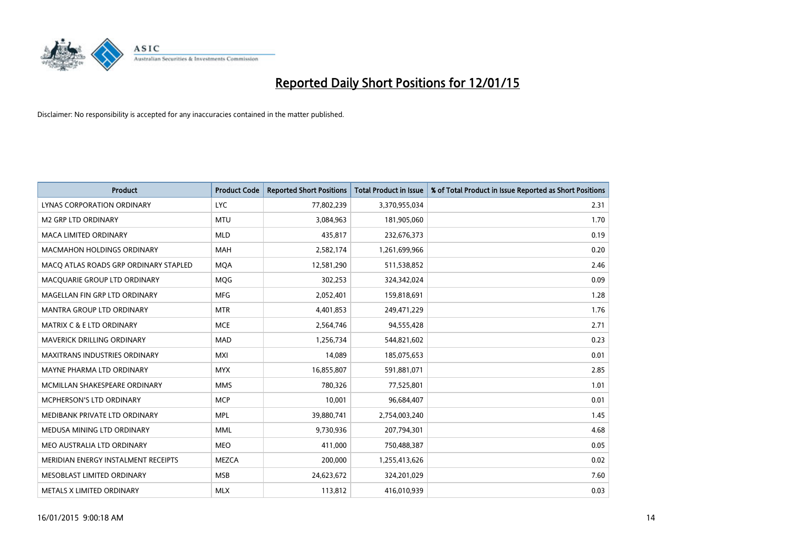

| <b>Product</b>                        | <b>Product Code</b> | <b>Reported Short Positions</b> | <b>Total Product in Issue</b> | % of Total Product in Issue Reported as Short Positions |
|---------------------------------------|---------------------|---------------------------------|-------------------------------|---------------------------------------------------------|
| LYNAS CORPORATION ORDINARY            | <b>LYC</b>          | 77,802,239                      | 3,370,955,034                 | 2.31                                                    |
| <b>M2 GRP LTD ORDINARY</b>            | <b>MTU</b>          | 3,084,963                       | 181,905,060                   | 1.70                                                    |
| <b>MACA LIMITED ORDINARY</b>          | <b>MLD</b>          | 435,817                         | 232,676,373                   | 0.19                                                    |
| <b>MACMAHON HOLDINGS ORDINARY</b>     | <b>MAH</b>          | 2,582,174                       | 1,261,699,966                 | 0.20                                                    |
| MACO ATLAS ROADS GRP ORDINARY STAPLED | <b>MOA</b>          | 12,581,290                      | 511,538,852                   | 2.46                                                    |
| MACQUARIE GROUP LTD ORDINARY          | MQG                 | 302,253                         | 324,342,024                   | 0.09                                                    |
| MAGELLAN FIN GRP LTD ORDINARY         | <b>MFG</b>          | 2,052,401                       | 159,818,691                   | 1.28                                                    |
| <b>MANTRA GROUP LTD ORDINARY</b>      | <b>MTR</b>          | 4,401,853                       | 249,471,229                   | 1.76                                                    |
| <b>MATRIX C &amp; E LTD ORDINARY</b>  | <b>MCE</b>          | 2,564,746                       | 94,555,428                    | 2.71                                                    |
| MAVERICK DRILLING ORDINARY            | MAD                 | 1,256,734                       | 544,821,602                   | 0.23                                                    |
| MAXITRANS INDUSTRIES ORDINARY         | <b>MXI</b>          | 14,089                          | 185,075,653                   | 0.01                                                    |
| MAYNE PHARMA LTD ORDINARY             | <b>MYX</b>          | 16,855,807                      | 591,881,071                   | 2.85                                                    |
| MCMILLAN SHAKESPEARE ORDINARY         | <b>MMS</b>          | 780,326                         | 77,525,801                    | 1.01                                                    |
| <b>MCPHERSON'S LTD ORDINARY</b>       | <b>MCP</b>          | 10,001                          | 96,684,407                    | 0.01                                                    |
| MEDIBANK PRIVATE LTD ORDINARY         | <b>MPL</b>          | 39,880,741                      | 2,754,003,240                 | 1.45                                                    |
| MEDUSA MINING LTD ORDINARY            | <b>MML</b>          | 9,730,936                       | 207,794,301                   | 4.68                                                    |
| MEO AUSTRALIA LTD ORDINARY            | <b>MEO</b>          | 411,000                         | 750,488,387                   | 0.05                                                    |
| MERIDIAN ENERGY INSTALMENT RECEIPTS   | <b>MEZCA</b>        | 200,000                         | 1,255,413,626                 | 0.02                                                    |
| MESOBLAST LIMITED ORDINARY            | <b>MSB</b>          | 24,623,672                      | 324,201,029                   | 7.60                                                    |
| METALS X LIMITED ORDINARY             | <b>MLX</b>          | 113,812                         | 416,010,939                   | 0.03                                                    |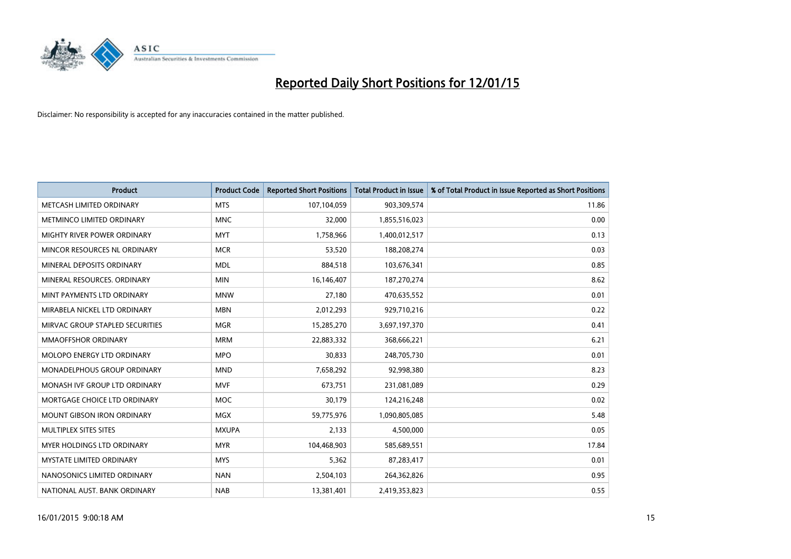

| <b>Product</b>                     | <b>Product Code</b> | <b>Reported Short Positions</b> | <b>Total Product in Issue</b> | % of Total Product in Issue Reported as Short Positions |
|------------------------------------|---------------------|---------------------------------|-------------------------------|---------------------------------------------------------|
| METCASH LIMITED ORDINARY           | <b>MTS</b>          | 107,104,059                     | 903,309,574                   | 11.86                                                   |
| METMINCO LIMITED ORDINARY          | <b>MNC</b>          | 32,000                          | 1,855,516,023                 | 0.00                                                    |
| <b>MIGHTY RIVER POWER ORDINARY</b> | <b>MYT</b>          | 1,758,966                       | 1,400,012,517                 | 0.13                                                    |
| MINCOR RESOURCES NL ORDINARY       | <b>MCR</b>          | 53,520                          | 188,208,274                   | 0.03                                                    |
| MINERAL DEPOSITS ORDINARY          | <b>MDL</b>          | 884,518                         | 103,676,341                   | 0.85                                                    |
| MINERAL RESOURCES, ORDINARY        | <b>MIN</b>          | 16,146,407                      | 187,270,274                   | 8.62                                                    |
| MINT PAYMENTS LTD ORDINARY         | <b>MNW</b>          | 27,180                          | 470,635,552                   | 0.01                                                    |
| MIRABELA NICKEL LTD ORDINARY       | <b>MBN</b>          | 2,012,293                       | 929,710,216                   | 0.22                                                    |
| MIRVAC GROUP STAPLED SECURITIES    | <b>MGR</b>          | 15,285,270                      | 3,697,197,370                 | 0.41                                                    |
| <b>MMAOFFSHOR ORDINARY</b>         | <b>MRM</b>          | 22,883,332                      | 368,666,221                   | 6.21                                                    |
| MOLOPO ENERGY LTD ORDINARY         | <b>MPO</b>          | 30,833                          | 248,705,730                   | 0.01                                                    |
| <b>MONADELPHOUS GROUP ORDINARY</b> | <b>MND</b>          | 7,658,292                       | 92,998,380                    | 8.23                                                    |
| MONASH IVF GROUP LTD ORDINARY      | <b>MVF</b>          | 673,751                         | 231,081,089                   | 0.29                                                    |
| MORTGAGE CHOICE LTD ORDINARY       | MOC                 | 30,179                          | 124,216,248                   | 0.02                                                    |
| <b>MOUNT GIBSON IRON ORDINARY</b>  | <b>MGX</b>          | 59,775,976                      | 1,090,805,085                 | 5.48                                                    |
| MULTIPLEX SITES SITES              | <b>MXUPA</b>        | 2,133                           | 4,500,000                     | 0.05                                                    |
| MYER HOLDINGS LTD ORDINARY         | <b>MYR</b>          | 104,468,903                     | 585,689,551                   | 17.84                                                   |
| MYSTATE LIMITED ORDINARY           | <b>MYS</b>          | 5,362                           | 87,283,417                    | 0.01                                                    |
| NANOSONICS LIMITED ORDINARY        | <b>NAN</b>          | 2,504,103                       | 264,362,826                   | 0.95                                                    |
| NATIONAL AUST. BANK ORDINARY       | <b>NAB</b>          | 13,381,401                      | 2,419,353,823                 | 0.55                                                    |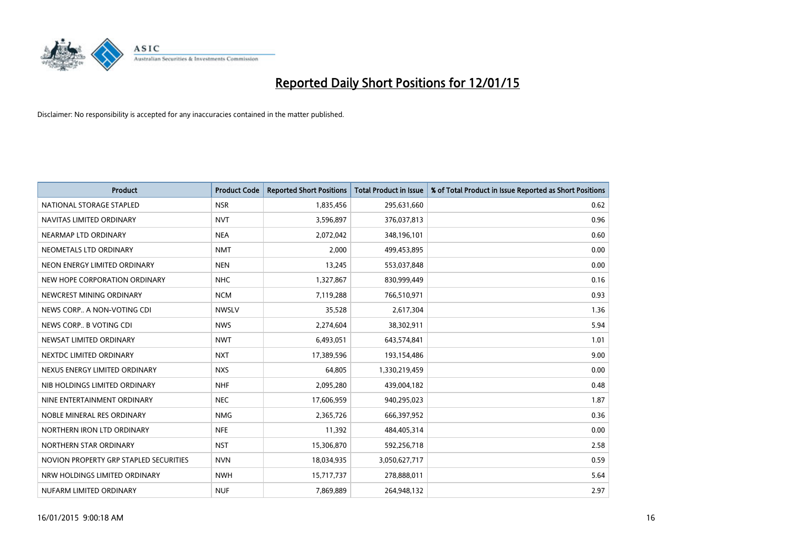

| <b>Product</b>                         | <b>Product Code</b> | <b>Reported Short Positions</b> | <b>Total Product in Issue</b> | % of Total Product in Issue Reported as Short Positions |
|----------------------------------------|---------------------|---------------------------------|-------------------------------|---------------------------------------------------------|
| NATIONAL STORAGE STAPLED               | <b>NSR</b>          | 1,835,456                       | 295,631,660                   | 0.62                                                    |
| NAVITAS LIMITED ORDINARY               | <b>NVT</b>          | 3,596,897                       | 376,037,813                   | 0.96                                                    |
| NEARMAP LTD ORDINARY                   | <b>NEA</b>          | 2,072,042                       | 348,196,101                   | 0.60                                                    |
| NEOMETALS LTD ORDINARY                 | <b>NMT</b>          | 2,000                           | 499,453,895                   | 0.00                                                    |
| NEON ENERGY LIMITED ORDINARY           | <b>NEN</b>          | 13,245                          | 553,037,848                   | 0.00                                                    |
| NEW HOPE CORPORATION ORDINARY          | <b>NHC</b>          | 1,327,867                       | 830,999,449                   | 0.16                                                    |
| NEWCREST MINING ORDINARY               | <b>NCM</b>          | 7,119,288                       | 766,510,971                   | 0.93                                                    |
| NEWS CORP A NON-VOTING CDI             | <b>NWSLV</b>        | 35,528                          | 2,617,304                     | 1.36                                                    |
| NEWS CORP B VOTING CDI                 | <b>NWS</b>          | 2,274,604                       | 38,302,911                    | 5.94                                                    |
| NEWSAT LIMITED ORDINARY                | <b>NWT</b>          | 6,493,051                       | 643,574,841                   | 1.01                                                    |
| NEXTDC LIMITED ORDINARY                | <b>NXT</b>          | 17,389,596                      | 193,154,486                   | 9.00                                                    |
| NEXUS ENERGY LIMITED ORDINARY          | <b>NXS</b>          | 64,805                          | 1,330,219,459                 | 0.00                                                    |
| NIB HOLDINGS LIMITED ORDINARY          | <b>NHF</b>          | 2,095,280                       | 439,004,182                   | 0.48                                                    |
| NINE ENTERTAINMENT ORDINARY            | <b>NEC</b>          | 17,606,959                      | 940,295,023                   | 1.87                                                    |
| NOBLE MINERAL RES ORDINARY             | <b>NMG</b>          | 2,365,726                       | 666,397,952                   | 0.36                                                    |
| NORTHERN IRON LTD ORDINARY             | <b>NFE</b>          | 11,392                          | 484,405,314                   | 0.00                                                    |
| NORTHERN STAR ORDINARY                 | <b>NST</b>          | 15,306,870                      | 592,256,718                   | 2.58                                                    |
| NOVION PROPERTY GRP STAPLED SECURITIES | <b>NVN</b>          | 18,034,935                      | 3,050,627,717                 | 0.59                                                    |
| NRW HOLDINGS LIMITED ORDINARY          | <b>NWH</b>          | 15,717,737                      | 278,888,011                   | 5.64                                                    |
| NUFARM LIMITED ORDINARY                | <b>NUF</b>          | 7,869,889                       | 264,948,132                   | 2.97                                                    |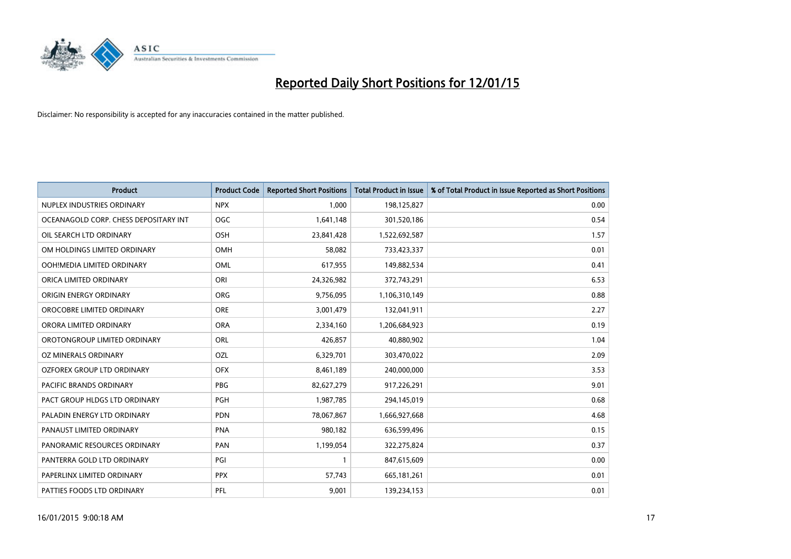

| <b>Product</b>                        | <b>Product Code</b> | <b>Reported Short Positions</b> | <b>Total Product in Issue</b> | % of Total Product in Issue Reported as Short Positions |
|---------------------------------------|---------------------|---------------------------------|-------------------------------|---------------------------------------------------------|
| NUPLEX INDUSTRIES ORDINARY            | <b>NPX</b>          | 1,000                           | 198,125,827                   | 0.00                                                    |
| OCEANAGOLD CORP. CHESS DEPOSITARY INT | <b>OGC</b>          | 1,641,148                       | 301,520,186                   | 0.54                                                    |
| OIL SEARCH LTD ORDINARY               | <b>OSH</b>          | 23,841,428                      | 1,522,692,587                 | 1.57                                                    |
| OM HOLDINGS LIMITED ORDINARY          | <b>OMH</b>          | 58,082                          | 733,423,337                   | 0.01                                                    |
| OOH!MEDIA LIMITED ORDINARY            | <b>OML</b>          | 617,955                         | 149,882,534                   | 0.41                                                    |
| ORICA LIMITED ORDINARY                | ORI                 | 24,326,982                      | 372,743,291                   | 6.53                                                    |
| ORIGIN ENERGY ORDINARY                | <b>ORG</b>          | 9,756,095                       | 1,106,310,149                 | 0.88                                                    |
| OROCOBRE LIMITED ORDINARY             | <b>ORE</b>          | 3,001,479                       | 132,041,911                   | 2.27                                                    |
| ORORA LIMITED ORDINARY                | <b>ORA</b>          | 2,334,160                       | 1,206,684,923                 | 0.19                                                    |
| OROTONGROUP LIMITED ORDINARY          | <b>ORL</b>          | 426,857                         | 40,880,902                    | 1.04                                                    |
| <b>OZ MINERALS ORDINARY</b>           | OZL                 | 6,329,701                       | 303,470,022                   | 2.09                                                    |
| OZFOREX GROUP LTD ORDINARY            | <b>OFX</b>          | 8,461,189                       | 240,000,000                   | 3.53                                                    |
| PACIFIC BRANDS ORDINARY               | PBG                 | 82,627,279                      | 917,226,291                   | 9.01                                                    |
| PACT GROUP HLDGS LTD ORDINARY         | PGH                 | 1,987,785                       | 294,145,019                   | 0.68                                                    |
| PALADIN ENERGY LTD ORDINARY           | <b>PDN</b>          | 78,067,867                      | 1,666,927,668                 | 4.68                                                    |
| PANAUST LIMITED ORDINARY              | <b>PNA</b>          | 980,182                         | 636,599,496                   | 0.15                                                    |
| PANORAMIC RESOURCES ORDINARY          | PAN                 | 1,199,054                       | 322,275,824                   | 0.37                                                    |
| PANTERRA GOLD LTD ORDINARY            | PGI                 | $\mathbf{1}$                    | 847,615,609                   | 0.00                                                    |
| PAPERLINX LIMITED ORDINARY            | <b>PPX</b>          | 57,743                          | 665,181,261                   | 0.01                                                    |
| PATTIES FOODS LTD ORDINARY            | PFL                 | 9,001                           | 139,234,153                   | 0.01                                                    |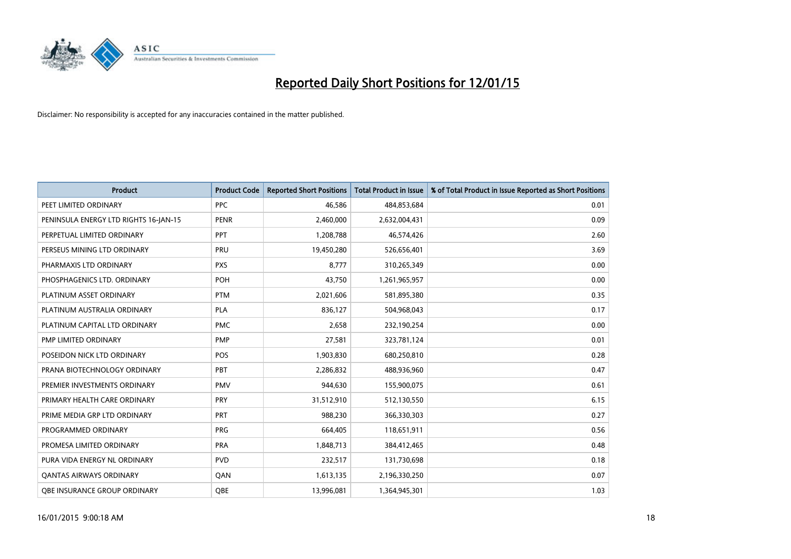

| <b>Product</b>                        | <b>Product Code</b> | <b>Reported Short Positions</b> | <b>Total Product in Issue</b> | % of Total Product in Issue Reported as Short Positions |
|---------------------------------------|---------------------|---------------------------------|-------------------------------|---------------------------------------------------------|
| PEET LIMITED ORDINARY                 | <b>PPC</b>          | 46,586                          | 484,853,684                   | 0.01                                                    |
| PENINSULA ENERGY LTD RIGHTS 16-JAN-15 | <b>PENR</b>         | 2,460,000                       | 2,632,004,431                 | 0.09                                                    |
| PERPETUAL LIMITED ORDINARY            | PPT                 | 1,208,788                       | 46,574,426                    | 2.60                                                    |
| PERSEUS MINING LTD ORDINARY           | PRU                 | 19,450,280                      | 526,656,401                   | 3.69                                                    |
| PHARMAXIS LTD ORDINARY                | <b>PXS</b>          | 8,777                           | 310,265,349                   | 0.00                                                    |
| PHOSPHAGENICS LTD. ORDINARY           | POH                 | 43,750                          | 1,261,965,957                 | 0.00                                                    |
| PLATINUM ASSET ORDINARY               | <b>PTM</b>          | 2,021,606                       | 581,895,380                   | 0.35                                                    |
| PLATINUM AUSTRALIA ORDINARY           | <b>PLA</b>          | 836,127                         | 504,968,043                   | 0.17                                                    |
| PLATINUM CAPITAL LTD ORDINARY         | <b>PMC</b>          | 2,658                           | 232,190,254                   | 0.00                                                    |
| PMP LIMITED ORDINARY                  | <b>PMP</b>          | 27,581                          | 323,781,124                   | 0.01                                                    |
| POSEIDON NICK LTD ORDINARY            | <b>POS</b>          | 1,903,830                       | 680,250,810                   | 0.28                                                    |
| PRANA BIOTECHNOLOGY ORDINARY          | PBT                 | 2,286,832                       | 488,936,960                   | 0.47                                                    |
| PREMIER INVESTMENTS ORDINARY          | <b>PMV</b>          | 944,630                         | 155,900,075                   | 0.61                                                    |
| PRIMARY HEALTH CARE ORDINARY          | <b>PRY</b>          | 31,512,910                      | 512,130,550                   | 6.15                                                    |
| PRIME MEDIA GRP LTD ORDINARY          | <b>PRT</b>          | 988,230                         | 366,330,303                   | 0.27                                                    |
| PROGRAMMED ORDINARY                   | <b>PRG</b>          | 664,405                         | 118,651,911                   | 0.56                                                    |
| PROMESA LIMITED ORDINARY              | <b>PRA</b>          | 1,848,713                       | 384,412,465                   | 0.48                                                    |
| PURA VIDA ENERGY NL ORDINARY          | <b>PVD</b>          | 232,517                         | 131,730,698                   | 0.18                                                    |
| <b>QANTAS AIRWAYS ORDINARY</b>        | QAN                 | 1,613,135                       | 2,196,330,250                 | 0.07                                                    |
| <b>OBE INSURANCE GROUP ORDINARY</b>   | <b>OBE</b>          | 13,996,081                      | 1,364,945,301                 | 1.03                                                    |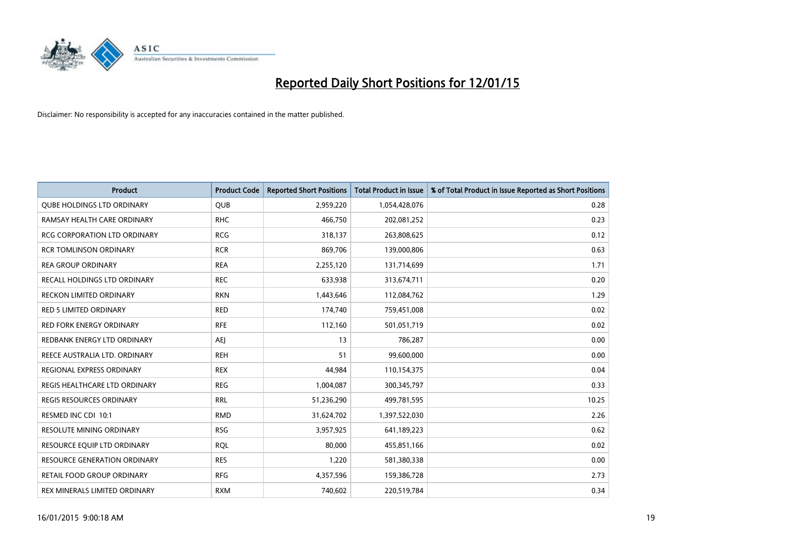

| <b>Product</b>                      | <b>Product Code</b> | <b>Reported Short Positions</b> | <b>Total Product in Issue</b> | % of Total Product in Issue Reported as Short Positions |
|-------------------------------------|---------------------|---------------------------------|-------------------------------|---------------------------------------------------------|
| <b>QUBE HOLDINGS LTD ORDINARY</b>   | <b>QUB</b>          | 2,959,220                       | 1,054,428,076                 | 0.28                                                    |
| RAMSAY HEALTH CARE ORDINARY         | <b>RHC</b>          | 466,750                         | 202,081,252                   | 0.23                                                    |
| <b>RCG CORPORATION LTD ORDINARY</b> | <b>RCG</b>          | 318,137                         | 263,808,625                   | 0.12                                                    |
| <b>RCR TOMLINSON ORDINARY</b>       | <b>RCR</b>          | 869,706                         | 139,000,806                   | 0.63                                                    |
| <b>REA GROUP ORDINARY</b>           | <b>REA</b>          | 2,255,120                       | 131,714,699                   | 1.71                                                    |
| <b>RECALL HOLDINGS LTD ORDINARY</b> | <b>REC</b>          | 633,938                         | 313,674,711                   | 0.20                                                    |
| <b>RECKON LIMITED ORDINARY</b>      | <b>RKN</b>          | 1,443,646                       | 112,084,762                   | 1.29                                                    |
| RED 5 LIMITED ORDINARY              | <b>RED</b>          | 174,740                         | 759,451,008                   | 0.02                                                    |
| <b>RED FORK ENERGY ORDINARY</b>     | <b>RFE</b>          | 112,160                         | 501,051,719                   | 0.02                                                    |
| REDBANK ENERGY LTD ORDINARY         | AEJ                 | 13                              | 786,287                       | 0.00                                                    |
| REECE AUSTRALIA LTD. ORDINARY       | <b>REH</b>          | 51                              | 99,600,000                    | 0.00                                                    |
| REGIONAL EXPRESS ORDINARY           | <b>REX</b>          | 44,984                          | 110,154,375                   | 0.04                                                    |
| REGIS HEALTHCARE LTD ORDINARY       | <b>REG</b>          | 1,004,087                       | 300, 345, 797                 | 0.33                                                    |
| REGIS RESOURCES ORDINARY            | <b>RRL</b>          | 51,236,290                      | 499,781,595                   | 10.25                                                   |
| RESMED INC CDI 10:1                 | <b>RMD</b>          | 31,624,702                      | 1,397,522,030                 | 2.26                                                    |
| RESOLUTE MINING ORDINARY            | <b>RSG</b>          | 3,957,925                       | 641,189,223                   | 0.62                                                    |
| RESOURCE EQUIP LTD ORDINARY         | <b>RQL</b>          | 80,000                          | 455,851,166                   | 0.02                                                    |
| <b>RESOURCE GENERATION ORDINARY</b> | <b>RES</b>          | 1,220                           | 581,380,338                   | 0.00                                                    |
| <b>RETAIL FOOD GROUP ORDINARY</b>   | <b>RFG</b>          | 4,357,596                       | 159,386,728                   | 2.73                                                    |
| REX MINERALS LIMITED ORDINARY       | <b>RXM</b>          | 740,602                         | 220,519,784                   | 0.34                                                    |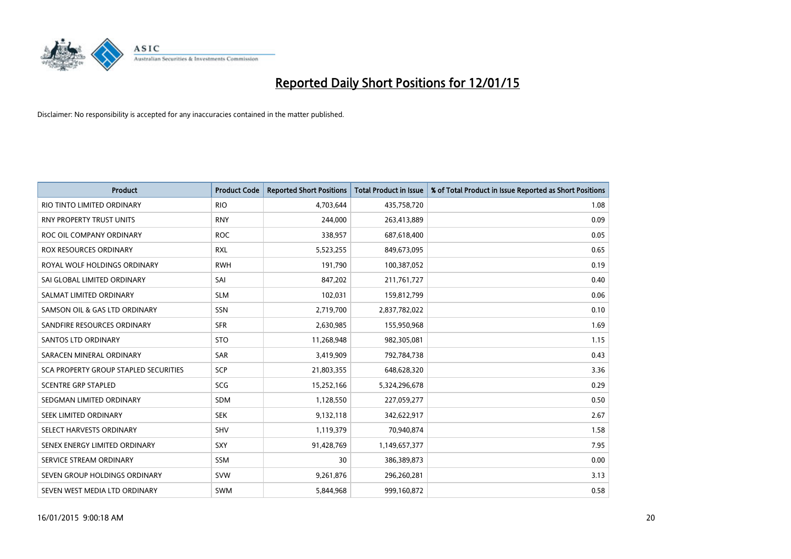

| <b>Product</b>                        | <b>Product Code</b> | <b>Reported Short Positions</b> | <b>Total Product in Issue</b> | % of Total Product in Issue Reported as Short Positions |
|---------------------------------------|---------------------|---------------------------------|-------------------------------|---------------------------------------------------------|
| RIO TINTO LIMITED ORDINARY            | <b>RIO</b>          | 4,703,644                       | 435,758,720                   | 1.08                                                    |
| RNY PROPERTY TRUST UNITS              | <b>RNY</b>          | 244,000                         | 263,413,889                   | 0.09                                                    |
| ROC OIL COMPANY ORDINARY              | <b>ROC</b>          | 338,957                         | 687,618,400                   | 0.05                                                    |
| <b>ROX RESOURCES ORDINARY</b>         | <b>RXL</b>          | 5,523,255                       | 849,673,095                   | 0.65                                                    |
| ROYAL WOLF HOLDINGS ORDINARY          | <b>RWH</b>          | 191,790                         | 100,387,052                   | 0.19                                                    |
| SAI GLOBAL LIMITED ORDINARY           | SAI                 | 847,202                         | 211,761,727                   | 0.40                                                    |
| SALMAT LIMITED ORDINARY               | <b>SLM</b>          | 102,031                         | 159,812,799                   | 0.06                                                    |
| SAMSON OIL & GAS LTD ORDINARY         | SSN                 | 2,719,700                       | 2,837,782,022                 | 0.10                                                    |
| SANDFIRE RESOURCES ORDINARY           | <b>SFR</b>          | 2,630,985                       | 155,950,968                   | 1.69                                                    |
| <b>SANTOS LTD ORDINARY</b>            | <b>STO</b>          | 11,268,948                      | 982,305,081                   | 1.15                                                    |
| SARACEN MINERAL ORDINARY              | SAR                 | 3,419,909                       | 792,784,738                   | 0.43                                                    |
| SCA PROPERTY GROUP STAPLED SECURITIES | <b>SCP</b>          | 21,803,355                      | 648,628,320                   | 3.36                                                    |
| <b>SCENTRE GRP STAPLED</b>            | SCG                 | 15,252,166                      | 5,324,296,678                 | 0.29                                                    |
| SEDGMAN LIMITED ORDINARY              | <b>SDM</b>          | 1,128,550                       | 227,059,277                   | 0.50                                                    |
| SEEK LIMITED ORDINARY                 | <b>SEK</b>          | 9,132,118                       | 342,622,917                   | 2.67                                                    |
| SELECT HARVESTS ORDINARY              | <b>SHV</b>          | 1,119,379                       | 70,940,874                    | 1.58                                                    |
| SENEX ENERGY LIMITED ORDINARY         | <b>SXY</b>          | 91,428,769                      | 1,149,657,377                 | 7.95                                                    |
| SERVICE STREAM ORDINARY               | <b>SSM</b>          | 30                              | 386,389,873                   | 0.00                                                    |
| SEVEN GROUP HOLDINGS ORDINARY         | <b>SVW</b>          | 9,261,876                       | 296,260,281                   | 3.13                                                    |
| SEVEN WEST MEDIA LTD ORDINARY         | <b>SWM</b>          | 5,844,968                       | 999,160,872                   | 0.58                                                    |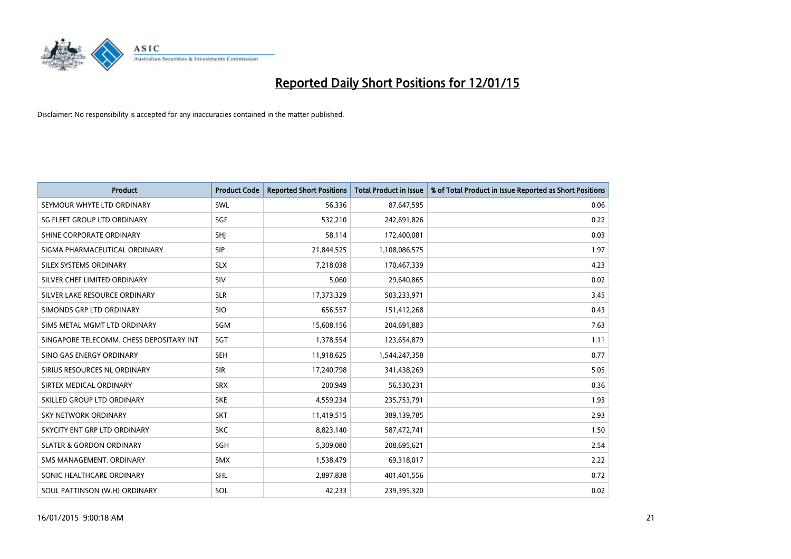

| <b>Product</b>                           | <b>Product Code</b> | <b>Reported Short Positions</b> | <b>Total Product in Issue</b> | % of Total Product in Issue Reported as Short Positions |
|------------------------------------------|---------------------|---------------------------------|-------------------------------|---------------------------------------------------------|
| SEYMOUR WHYTE LTD ORDINARY               | SWL                 | 56,336                          | 87,647,595                    | 0.06                                                    |
| SG FLEET GROUP LTD ORDINARY              | SGF                 | 532,210                         | 242,691,826                   | 0.22                                                    |
| SHINE CORPORATE ORDINARY                 | SHJ                 | 58,114                          | 172,400,081                   | 0.03                                                    |
| SIGMA PHARMACEUTICAL ORDINARY            | <b>SIP</b>          | 21,844,525                      | 1,108,086,575                 | 1.97                                                    |
| SILEX SYSTEMS ORDINARY                   | <b>SLX</b>          | 7,218,038                       | 170,467,339                   | 4.23                                                    |
| SILVER CHEF LIMITED ORDINARY             | <b>SIV</b>          | 5,060                           | 29,640,865                    | 0.02                                                    |
| SILVER LAKE RESOURCE ORDINARY            | <b>SLR</b>          | 17,373,329                      | 503,233,971                   | 3.45                                                    |
| SIMONDS GRP LTD ORDINARY                 | <b>SIO</b>          | 656,557                         | 151,412,268                   | 0.43                                                    |
| SIMS METAL MGMT LTD ORDINARY             | SGM                 | 15,608,156                      | 204,691,883                   | 7.63                                                    |
| SINGAPORE TELECOMM. CHESS DEPOSITARY INT | SGT                 | 1,378,554                       | 123,654,879                   | 1.11                                                    |
| SINO GAS ENERGY ORDINARY                 | SEH                 | 11,918,625                      | 1,544,247,358                 | 0.77                                                    |
| SIRIUS RESOURCES NL ORDINARY             | <b>SIR</b>          | 17,240,798                      | 341,438,269                   | 5.05                                                    |
| SIRTEX MEDICAL ORDINARY                  | <b>SRX</b>          | 200,949                         | 56,530,231                    | 0.36                                                    |
| SKILLED GROUP LTD ORDINARY               | <b>SKE</b>          | 4,559,234                       | 235,753,791                   | 1.93                                                    |
| <b>SKY NETWORK ORDINARY</b>              | <b>SKT</b>          | 11,419,515                      | 389,139,785                   | 2.93                                                    |
| SKYCITY ENT GRP LTD ORDINARY             | <b>SKC</b>          | 8,823,140                       | 587,472,741                   | 1.50                                                    |
| <b>SLATER &amp; GORDON ORDINARY</b>      | SGH                 | 5,309,080                       | 208,695,621                   | 2.54                                                    |
| SMS MANAGEMENT, ORDINARY                 | <b>SMX</b>          | 1,538,479                       | 69,318,017                    | 2.22                                                    |
| SONIC HEALTHCARE ORDINARY                | <b>SHL</b>          | 2,897,838                       | 401,401,556                   | 0.72                                                    |
| SOUL PATTINSON (W.H) ORDINARY            | SOL                 | 42,233                          | 239,395,320                   | 0.02                                                    |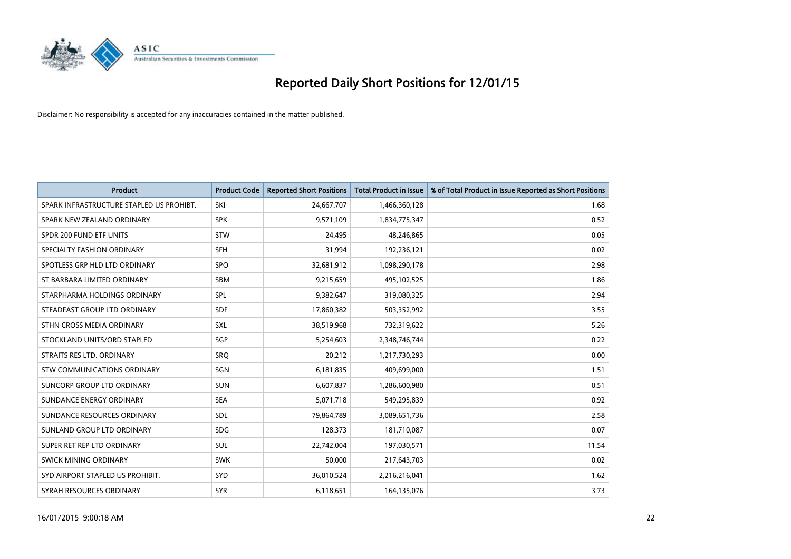

| <b>Product</b>                           | <b>Product Code</b> | <b>Reported Short Positions</b> | <b>Total Product in Issue</b> | % of Total Product in Issue Reported as Short Positions |
|------------------------------------------|---------------------|---------------------------------|-------------------------------|---------------------------------------------------------|
| SPARK INFRASTRUCTURE STAPLED US PROHIBT. | SKI                 | 24,667,707                      | 1,466,360,128                 | 1.68                                                    |
| SPARK NEW ZEALAND ORDINARY               | <b>SPK</b>          | 9,571,109                       | 1,834,775,347                 | 0.52                                                    |
| SPDR 200 FUND ETF UNITS                  | <b>STW</b>          | 24,495                          | 48,246,865                    | 0.05                                                    |
| SPECIALTY FASHION ORDINARY               | <b>SFH</b>          | 31,994                          | 192,236,121                   | 0.02                                                    |
| SPOTLESS GRP HLD LTD ORDINARY            | <b>SPO</b>          | 32,681,912                      | 1,098,290,178                 | 2.98                                                    |
| ST BARBARA LIMITED ORDINARY              | SBM                 | 9,215,659                       | 495,102,525                   | 1.86                                                    |
| STARPHARMA HOLDINGS ORDINARY             | <b>SPL</b>          | 9,382,647                       | 319,080,325                   | 2.94                                                    |
| STEADFAST GROUP LTD ORDINARY             | <b>SDF</b>          | 17,860,382                      | 503,352,992                   | 3.55                                                    |
| STHN CROSS MEDIA ORDINARY                | SXL                 | 38,519,968                      | 732,319,622                   | 5.26                                                    |
| STOCKLAND UNITS/ORD STAPLED              | SGP                 | 5,254,603                       | 2,348,746,744                 | 0.22                                                    |
| STRAITS RES LTD. ORDINARY                | SRO                 | 20,212                          | 1,217,730,293                 | 0.00                                                    |
| STW COMMUNICATIONS ORDINARY              | <b>SGN</b>          | 6,181,835                       | 409,699,000                   | 1.51                                                    |
| SUNCORP GROUP LTD ORDINARY               | <b>SUN</b>          | 6,607,837                       | 1,286,600,980                 | 0.51                                                    |
| SUNDANCE ENERGY ORDINARY                 | <b>SEA</b>          | 5,071,718                       | 549,295,839                   | 0.92                                                    |
| SUNDANCE RESOURCES ORDINARY              | <b>SDL</b>          | 79,864,789                      | 3,089,651,736                 | 2.58                                                    |
| SUNLAND GROUP LTD ORDINARY               | <b>SDG</b>          | 128,373                         | 181,710,087                   | 0.07                                                    |
| SUPER RET REP LTD ORDINARY               | SUL                 | 22,742,004                      | 197,030,571                   | 11.54                                                   |
| SWICK MINING ORDINARY                    | <b>SWK</b>          | 50.000                          | 217,643,703                   | 0.02                                                    |
| SYD AIRPORT STAPLED US PROHIBIT.         | <b>SYD</b>          | 36,010,524                      | 2,216,216,041                 | 1.62                                                    |
| SYRAH RESOURCES ORDINARY                 | <b>SYR</b>          | 6,118,651                       | 164,135,076                   | 3.73                                                    |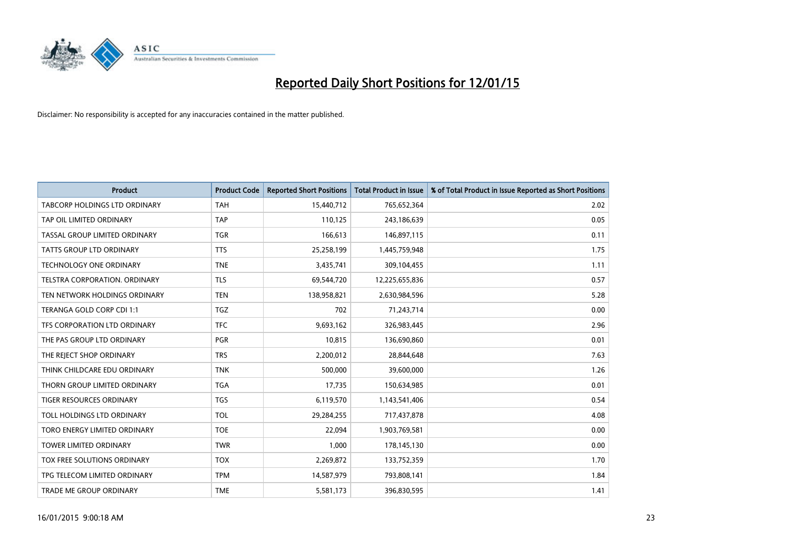

| <b>Product</b>                  | <b>Product Code</b> | <b>Reported Short Positions</b> | <b>Total Product in Issue</b> | % of Total Product in Issue Reported as Short Positions |
|---------------------------------|---------------------|---------------------------------|-------------------------------|---------------------------------------------------------|
| TABCORP HOLDINGS LTD ORDINARY   | <b>TAH</b>          | 15,440,712                      | 765,652,364                   | 2.02                                                    |
| TAP OIL LIMITED ORDINARY        | <b>TAP</b>          | 110,125                         | 243,186,639                   | 0.05                                                    |
| TASSAL GROUP LIMITED ORDINARY   | <b>TGR</b>          | 166,613                         | 146,897,115                   | 0.11                                                    |
| <b>TATTS GROUP LTD ORDINARY</b> | <b>TTS</b>          | 25,258,199                      | 1,445,759,948                 | 1.75                                                    |
| <b>TECHNOLOGY ONE ORDINARY</b>  | <b>TNE</b>          | 3,435,741                       | 309,104,455                   | 1.11                                                    |
| TELSTRA CORPORATION, ORDINARY   | <b>TLS</b>          | 69,544,720                      | 12,225,655,836                | 0.57                                                    |
| TEN NETWORK HOLDINGS ORDINARY   | <b>TEN</b>          | 138,958,821                     | 2,630,984,596                 | 5.28                                                    |
| TERANGA GOLD CORP CDI 1:1       | <b>TGZ</b>          | 702                             | 71,243,714                    | 0.00                                                    |
| TFS CORPORATION LTD ORDINARY    | <b>TFC</b>          | 9,693,162                       | 326,983,445                   | 2.96                                                    |
| THE PAS GROUP LTD ORDINARY      | <b>PGR</b>          | 10,815                          | 136,690,860                   | 0.01                                                    |
| THE REJECT SHOP ORDINARY        | <b>TRS</b>          | 2,200,012                       | 28,844,648                    | 7.63                                                    |
| THINK CHILDCARE EDU ORDINARY    | <b>TNK</b>          | 500,000                         | 39,600,000                    | 1.26                                                    |
| THORN GROUP LIMITED ORDINARY    | <b>TGA</b>          | 17,735                          | 150,634,985                   | 0.01                                                    |
| <b>TIGER RESOURCES ORDINARY</b> | <b>TGS</b>          | 6,119,570                       | 1,143,541,406                 | 0.54                                                    |
| TOLL HOLDINGS LTD ORDINARY      | <b>TOL</b>          | 29,284,255                      | 717,437,878                   | 4.08                                                    |
| TORO ENERGY LIMITED ORDINARY    | <b>TOE</b>          | 22,094                          | 1,903,769,581                 | 0.00                                                    |
| TOWER LIMITED ORDINARY          | <b>TWR</b>          | 1,000                           | 178,145,130                   | 0.00                                                    |
| TOX FREE SOLUTIONS ORDINARY     | <b>TOX</b>          | 2,269,872                       | 133,752,359                   | 1.70                                                    |
| TPG TELECOM LIMITED ORDINARY    | <b>TPM</b>          | 14,587,979                      | 793,808,141                   | 1.84                                                    |
| TRADE ME GROUP ORDINARY         | <b>TME</b>          | 5,581,173                       | 396,830,595                   | 1.41                                                    |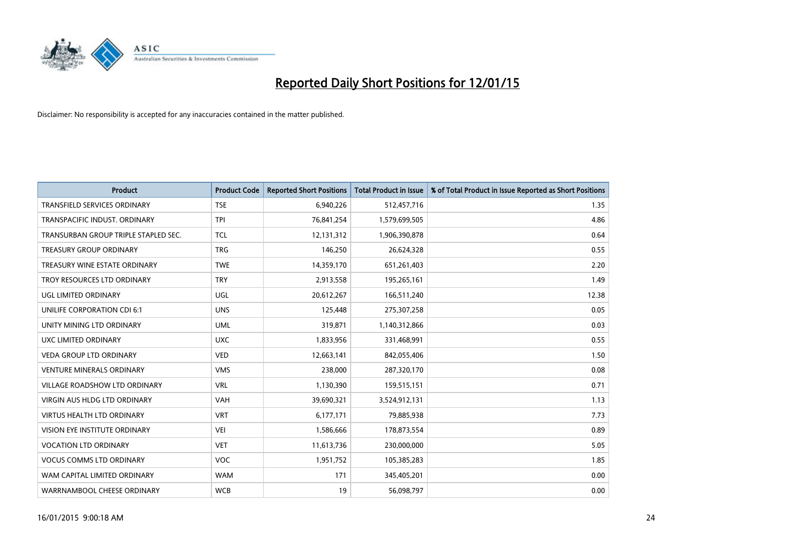

| <b>Product</b>                       | <b>Product Code</b> | <b>Reported Short Positions</b> | <b>Total Product in Issue</b> | % of Total Product in Issue Reported as Short Positions |
|--------------------------------------|---------------------|---------------------------------|-------------------------------|---------------------------------------------------------|
| <b>TRANSFIELD SERVICES ORDINARY</b>  | <b>TSE</b>          | 6,940,226                       | 512,457,716                   | 1.35                                                    |
| TRANSPACIFIC INDUST. ORDINARY        | TPI                 | 76,841,254                      | 1,579,699,505                 | 4.86                                                    |
| TRANSURBAN GROUP TRIPLE STAPLED SEC. | <b>TCL</b>          | 12,131,312                      | 1,906,390,878                 | 0.64                                                    |
| TREASURY GROUP ORDINARY              | <b>TRG</b>          | 146,250                         | 26,624,328                    | 0.55                                                    |
| TREASURY WINE ESTATE ORDINARY        | <b>TWE</b>          | 14,359,170                      | 651,261,403                   | 2.20                                                    |
| TROY RESOURCES LTD ORDINARY          | <b>TRY</b>          | 2,913,558                       | 195,265,161                   | 1.49                                                    |
| UGL LIMITED ORDINARY                 | UGL                 | 20,612,267                      | 166,511,240                   | 12.38                                                   |
| UNILIFE CORPORATION CDI 6:1          | <b>UNS</b>          | 125,448                         | 275,307,258                   | 0.05                                                    |
| UNITY MINING LTD ORDINARY            | <b>UML</b>          | 319,871                         | 1,140,312,866                 | 0.03                                                    |
| UXC LIMITED ORDINARY                 | <b>UXC</b>          | 1,833,956                       | 331,468,991                   | 0.55                                                    |
| VEDA GROUP LTD ORDINARY              | <b>VED</b>          | 12,663,141                      | 842,055,406                   | 1.50                                                    |
| <b>VENTURE MINERALS ORDINARY</b>     | <b>VMS</b>          | 238,000                         | 287,320,170                   | 0.08                                                    |
| VILLAGE ROADSHOW LTD ORDINARY        | <b>VRL</b>          | 1,130,390                       | 159,515,151                   | 0.71                                                    |
| <b>VIRGIN AUS HLDG LTD ORDINARY</b>  | <b>VAH</b>          | 39,690,321                      | 3,524,912,131                 | 1.13                                                    |
| <b>VIRTUS HEALTH LTD ORDINARY</b>    | <b>VRT</b>          | 6,177,171                       | 79,885,938                    | 7.73                                                    |
| VISION EYE INSTITUTE ORDINARY        | <b>VEI</b>          | 1,586,666                       | 178,873,554                   | 0.89                                                    |
| <b>VOCATION LTD ORDINARY</b>         | <b>VET</b>          | 11,613,736                      | 230,000,000                   | 5.05                                                    |
| <b>VOCUS COMMS LTD ORDINARY</b>      | <b>VOC</b>          | 1,951,752                       | 105,385,283                   | 1.85                                                    |
| WAM CAPITAL LIMITED ORDINARY         | <b>WAM</b>          | 171                             | 345,405,201                   | 0.00                                                    |
| WARRNAMBOOL CHEESE ORDINARY          | <b>WCB</b>          | 19                              | 56,098,797                    | 0.00                                                    |